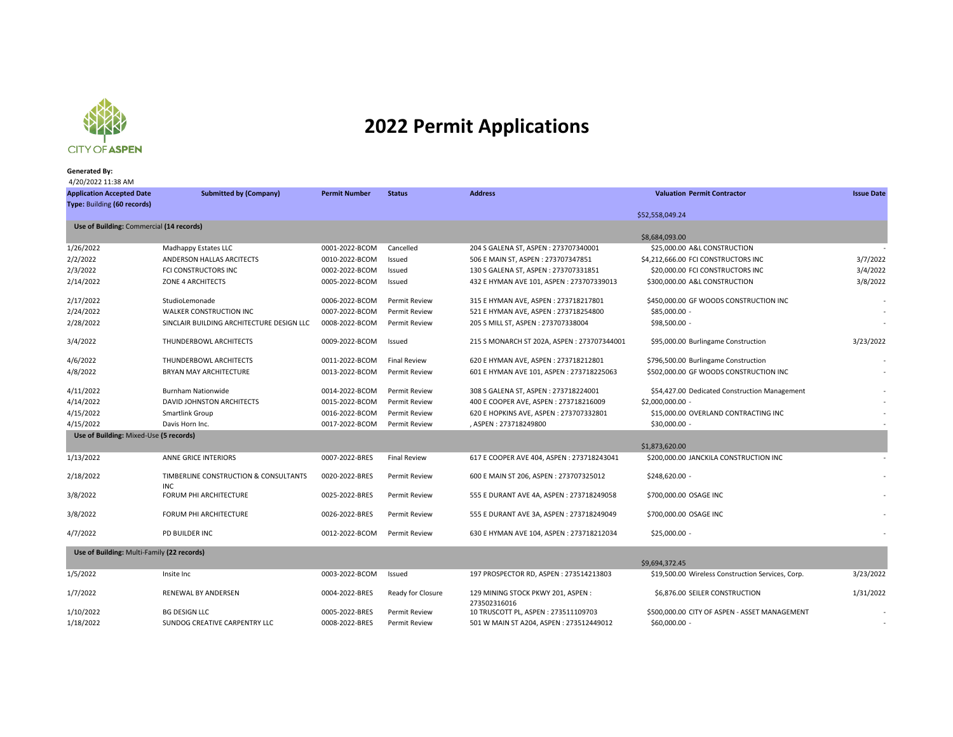

## **2022 Permit Applications**

## **Generated By:**

| 4/20/2022 11:38 AM                         |                                                     |                      |                      |                                                   |                                                   |                   |
|--------------------------------------------|-----------------------------------------------------|----------------------|----------------------|---------------------------------------------------|---------------------------------------------------|-------------------|
| <b>Application Accepted Date</b>           | <b>Submitted by (Company)</b>                       | <b>Permit Number</b> | <b>Status</b>        | <b>Address</b>                                    | <b>Valuation Permit Contractor</b>                | <b>Issue Date</b> |
| Type: Building (60 records)                |                                                     |                      |                      |                                                   | \$52,558,049.24                                   |                   |
| Use of Building: Commercial (14 records)   |                                                     |                      |                      |                                                   |                                                   |                   |
|                                            |                                                     |                      |                      |                                                   | \$8,684,093.00                                    |                   |
| 1/26/2022                                  | Madhappy Estates LLC                                | 0001-2022-BCOM       | Cancelled            | 204 S GALENA ST, ASPEN: 273707340001              | \$25,000.00 A&L CONSTRUCTION                      |                   |
| 2/2/2022                                   | ANDERSON HALLAS ARCITECTS                           | 0010-2022-BCOM       | Issued               | 506 E MAIN ST, ASPEN: 273707347851                | \$4,212,666.00 FCI CONSTRUCTORS INC               | 3/7/2022          |
| 2/3/2022                                   | FCI CONSTRUCTORS INC                                | 0002-2022-BCOM       | Issued               | 130 S GALENA ST, ASPEN: 273707331851              | \$20,000.00 FCI CONSTRUCTORS INC                  | 3/4/2022          |
| 2/14/2022                                  | <b>ZONE 4 ARCHITECTS</b>                            | 0005-2022-BCOM       | Issued               | 432 E HYMAN AVE 101, ASPEN: 273707339013          | \$300,000.00 A&L CONSTRUCTION                     | 3/8/2022          |
| 2/17/2022                                  | StudioLemonade                                      | 0006-2022-BCOM       | <b>Permit Review</b> | 315 E HYMAN AVE, ASPEN: 273718217801              | \$450,000.00 GF WOODS CONSTRUCTION INC            |                   |
| 2/24/2022                                  | <b>WALKER CONSTRUCTION INC</b>                      | 0007-2022-BCOM       | <b>Permit Review</b> | 521 E HYMAN AVE, ASPEN: 273718254800              | \$85,000.00 -                                     |                   |
| 2/28/2022                                  | SINCLAIR BUILDING ARCHITECTURE DESIGN LLC           | 0008-2022-BCOM       | <b>Permit Review</b> | 205 S MILL ST, ASPEN: 273707338004                | \$98,500.00 -                                     |                   |
| 3/4/2022                                   | THUNDERBOWL ARCHITECTS                              | 0009-2022-BCOM       | Issued               | 215 S MONARCH ST 202A, ASPEN: 273707344001        | \$95,000.00 Burlingame Construction               | 3/23/2022         |
| 4/6/2022                                   | THUNDERBOWL ARCHITECTS                              | 0011-2022-BCOM       | <b>Final Review</b>  | 620 E HYMAN AVE, ASPEN: 273718212801              | \$796,500.00 Burlingame Construction              |                   |
| 4/8/2022                                   | <b>BRYAN MAY ARCHITECTURE</b>                       | 0013-2022-BCOM       | Permit Review        | 601 E HYMAN AVE 101, ASPEN : 273718225063         | \$502,000.00 GF WOODS CONSTRUCTION INC            |                   |
| 4/11/2022                                  | <b>Burnham Nationwide</b>                           | 0014-2022-BCOM       | <b>Permit Review</b> | 308 S GALENA ST, ASPEN: 273718224001              | \$54,427.00 Dedicated Construction Management     |                   |
| 4/14/2022                                  | DAVID JOHNSTON ARCHITECTS                           | 0015-2022-BCOM       | <b>Permit Review</b> | 400 E COOPER AVE, ASPEN: 273718216009             | \$2,000,000.00 -                                  |                   |
| 4/15/2022                                  | <b>Smartlink Group</b>                              | 0016-2022-BCOM       | <b>Permit Review</b> | 620 E HOPKINS AVE, ASPEN: 273707332801            | \$15,000.00 OVERLAND CONTRACTING INC              |                   |
| 4/15/2022                                  | Davis Horn Inc.                                     | 0017-2022-BCOM       | <b>Permit Review</b> | , ASPEN: 273718249800                             | $$30.000.00 -$                                    |                   |
| Use of Building: Mixed-Use (5 records)     |                                                     |                      |                      |                                                   |                                                   |                   |
|                                            |                                                     |                      |                      |                                                   | \$1,873,620.00                                    |                   |
| 1/13/2022                                  | ANNE GRICE INTERIORS                                | 0007-2022-BRES       | <b>Final Review</b>  | 617 E COOPER AVE 404, ASPEN : 273718243041        | \$200,000.00 JANCKILA CONSTRUCTION INC            |                   |
| 2/18/2022                                  | TIMBERLINE CONSTRUCTION & CONSULTANTS<br><b>INC</b> | 0020-2022-BRES       | <b>Permit Review</b> | 600 E MAIN ST 206, ASPEN: 273707325012            | \$248,620.00 -                                    |                   |
| 3/8/2022                                   | FORUM PHI ARCHITECTURE                              | 0025-2022-BRES       | <b>Permit Review</b> | 555 E DURANT AVE 4A, ASPEN : 273718249058         | \$700,000.00 OSAGE INC                            |                   |
| 3/8/2022                                   | <b>FORUM PHI ARCHITECTURE</b>                       | 0026-2022-BRES       | <b>Permit Review</b> | 555 E DURANT AVE 3A, ASPEN: 273718249049          | \$700,000.00 OSAGE INC                            |                   |
| 4/7/2022                                   | PD BUILDER INC                                      | 0012-2022-BCOM       | <b>Permit Review</b> | 630 E HYMAN AVE 104, ASPEN: 273718212034          | $$25,000.00 -$                                    |                   |
| Use of Building: Multi-Family (22 records) |                                                     |                      |                      |                                                   |                                                   |                   |
|                                            |                                                     |                      |                      |                                                   | \$9,694,372.45                                    |                   |
| 1/5/2022                                   | Insite Inc                                          | 0003-2022-BCOM       | Issued               | 197 PROSPECTOR RD, ASPEN: 273514213803            | \$19,500.00 Wireless Construction Services, Corp. | 3/23/2022         |
| 1/7/2022                                   | RENEWAL BY ANDERSEN                                 | 0004-2022-BRES       | Ready for Closure    | 129 MINING STOCK PKWY 201, ASPEN:<br>273502316016 | \$6,876.00 SEILER CONSTRUCTION                    | 1/31/2022         |
| 1/10/2022                                  | <b>BG DESIGN LLC</b>                                | 0005-2022-BRES       | <b>Permit Review</b> | 10 TRUSCOTT PL, ASPEN: 273511109703               | \$500,000.00 CITY OF ASPEN - ASSET MANAGEMENT     |                   |
| 1/18/2022                                  | SUNDOG CREATIVE CARPENTRY LLC                       | 0008-2022-BRES       | <b>Permit Review</b> | 501 W MAIN ST A204, ASPEN: 273512449012           | $$60,000.00 -$                                    |                   |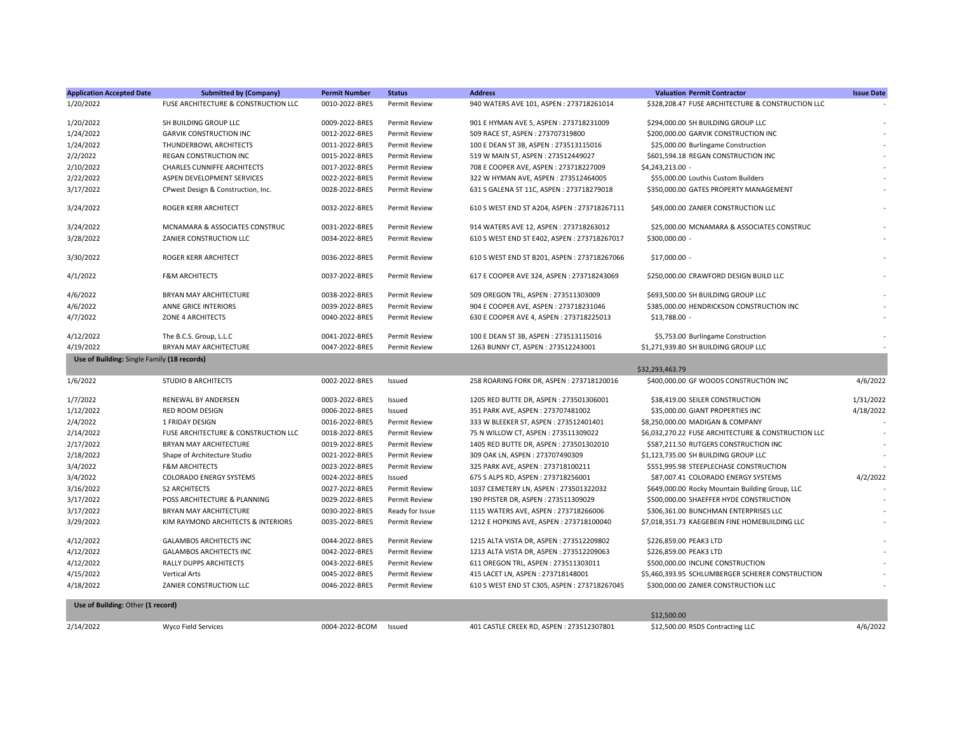| <b>Application Accepted Date</b>            | <b>Submitted by (Company)</b>        | <b>Permit Number</b> | <b>Status</b>        | <b>Address</b>                               | <b>Valuation Permit Contractor</b>                  | <b>Issue Date</b> |
|---------------------------------------------|--------------------------------------|----------------------|----------------------|----------------------------------------------|-----------------------------------------------------|-------------------|
| 1/20/2022                                   | FUSE ARCHITECTURE & CONSTRUCTION LLC | 0010-2022-BRES       | Permit Review        | 940 WATERS AVE 101, ASPEN : 273718261014     | \$328,208.47 FUSE ARCHITECTURE & CONSTRUCTION LLC   |                   |
| 1/20/2022                                   | SH BUILDING GROUP LLC                | 0009-2022-BRES       | <b>Permit Review</b> | 901 E HYMAN AVE 5. ASPEN: 273718231009       | \$294,000.00 SH BUILDING GROUP LLC                  |                   |
| 1/24/2022                                   | <b>GARVIK CONSTRUCTION INC</b>       | 0012-2022-BRES       | <b>Permit Review</b> | 509 RACE ST, ASPEN: 273707319800             | \$200,000.00 GARVIK CONSTRUCTION INC                |                   |
|                                             |                                      |                      |                      |                                              |                                                     |                   |
| 1/24/2022                                   | THUNDERBOWL ARCHITECTS               | 0011-2022-BRES       | Permit Review        | 100 E DEAN ST 3B, ASPEN: 273513115016        | \$25,000.00 Burlingame Construction                 |                   |
| 2/2/2022                                    | REGAN CONSTRUCTION INC               | 0015-2022-BRES       | Permit Review        | 519 W MAIN ST, ASPEN: 273512449027           | \$601,594.18 REGAN CONSTRUCTION INC                 |                   |
| 2/10/2022                                   | <b>CHARLES CUNNIFFE ARCHITECTS</b>   | 0017-2022-BRES       | Permit Review        | 708 E COOPER AVE, ASPEN : 273718227009       | \$4,243,213.00 -                                    |                   |
| 2/22/2022                                   | ASPEN DEVELOPMENT SERVICES           | 0022-2022-BRES       | Permit Review        | 322 W HYMAN AVE, ASPEN: 273512464005         | \$55,000.00 Louthis Custom Builders                 |                   |
| 3/17/2022                                   | CPwest Design & Construction, Inc.   | 0028-2022-BRES       | Permit Review        | 631 S GALENA ST 11C, ASPEN: 273718279018     | \$350,000.00 GATES PROPERTY MANAGEMENT              |                   |
| 3/24/2022                                   | ROGER KERR ARCHITECT                 | 0032-2022-BRES       | Permit Review        | 610 S WEST END ST A204, ASPEN : 273718267111 | \$49,000.00 ZANIER CONSTRUCTION LLC                 |                   |
| 3/24/2022                                   | MCNAMARA & ASSOCIATES CONSTRUC       | 0031-2022-BRES       | Permit Review        | 914 WATERS AVE 12, ASPEN: 273718263012       | \$25,000.00 MCNAMARA & ASSOCIATES CONSTRUC          |                   |
| 3/28/2022                                   | ZANIER CONSTRUCTION LLC              | 0034-2022-BRES       | Permit Review        | 610 S WEST END ST E402, ASPEN : 273718267017 | \$300,000.00                                        |                   |
| 3/30/2022                                   | ROGER KERR ARCHITECT                 | 0036-2022-BRES       | Permit Review        | 610 S WEST END ST B201, ASPEN: 273718267066  | \$17,000.00 -                                       |                   |
| 4/1/2022                                    | <b>F&amp;M ARCHITECTS</b>            | 0037-2022-BRES       | Permit Review        | 617 E COOPER AVE 324, ASPEN: 273718243069    | \$250,000.00 CRAWFORD DESIGN BUILD LLC              |                   |
| 4/6/2022                                    | BRYAN MAY ARCHITECTURE               | 0038-2022-BRES       | Permit Review        | 509 OREGON TRL, ASPEN: 273511303009          | \$693,500.00 SH BUILDING GROUP LLC                  |                   |
| 4/6/2022                                    | <b>ANNE GRICE INTERIORS</b>          | 0039-2022-BRES       | Permit Review        | 904 E COOPER AVE, ASPEN: 273718231046        | \$385,000.00 HENDRICKSON CONSTRUCTION INC           |                   |
| 4/7/2022                                    | <b>ZONE 4 ARCHITECTS</b>             | 0040-2022-BRES       | <b>Permit Review</b> | 630 E COOPER AVE 4, ASPEN : 273718225013     | \$13,788.00 -                                       |                   |
|                                             |                                      |                      |                      |                                              |                                                     |                   |
| 4/12/2022                                   | The B.C.S. Group, L.L.C              | 0041-2022-BRES       | <b>Permit Review</b> | 100 E DEAN ST 3B, ASPEN: 273513115016        | \$5,753.00 Burlingame Construction                  |                   |
| 4/19/2022                                   | BRYAN MAY ARCHITECTURE               | 0047-2022-BRES       | <b>Permit Review</b> | 1263 BUNNY CT, ASPEN: 273512243001           | \$1,271,939.80 SH BUILDING GROUP LLC                |                   |
| Use of Building: Single Family (18 records) |                                      |                      |                      |                                              |                                                     |                   |
|                                             |                                      |                      |                      |                                              | \$32,293,463.79                                     |                   |
| 1/6/2022                                    | <b>STUDIO B ARCHITECTS</b>           | 0002-2022-BRES       | Issued               | 258 ROARING FORK DR, ASPEN : 273718120016    | \$400,000.00 GF WOODS CONSTRUCTION INC              | 4/6/2022          |
| 1/7/2022                                    | RENEWAL BY ANDERSEN                  | 0003-2022-BRES       | Issued               | 1205 RED BUTTE DR, ASPEN: 273501306001       | \$38,419.00 SEILER CONSTRUCTION                     | 1/31/2022         |
| 1/12/2022                                   | <b>RED ROOM DESIGN</b>               | 0006-2022-BRES       | Issued               | 351 PARK AVE, ASPEN: 273707481002            | \$35,000.00 GIANT PROPERTIES INC                    | 4/18/2022         |
| 2/4/2022                                    | 1 FRIDAY DESIGN                      | 0016-2022-BRES       | Permit Review        | 333 W BLEEKER ST, ASPEN: 273512401401        | \$8,250,000.00 MADIGAN & COMPANY                    |                   |
| 2/14/2022                                   | FUSE ARCHITECTURE & CONSTRUCTION LLC | 0018-2022-BRES       | Permit Review        | 75 N WILLOW CT, ASPEN: 273511309022          | \$6,032,270.22 FUSE ARCHITECTURE & CONSTRUCTION LLC |                   |
| 2/17/2022                                   | <b>BRYAN MAY ARCHITECTURE</b>        | 0019-2022-BRES       | Permit Review        | 1405 RED BUTTE DR, ASPEN: 273501302010       | \$587,211.50 RUTGERS CONSTRUCTION INC               |                   |
| 2/18/2022                                   | Shape of Architecture Studio         | 0021-2022-BRES       | Permit Review        | 309 OAK LN, ASPEN: 273707490309              | \$1,123,735.00 SH BUILDING GROUP LLC                |                   |
| 3/4/2022                                    | <b>F&amp;M ARCHITECTS</b>            | 0023-2022-BRES       | Permit Review        | 325 PARK AVE, ASPEN: 273718100211            | \$551,995.98 STEEPLECHASE CONSTRUCTION              |                   |
| 3/4/2022                                    | <b>COLORADO ENERGY SYSTEMS</b>       | 0024-2022-BRES       | Issued               | 675 S ALPS RD, ASPEN: 273718256001           | \$87,007.41 COLORADO ENERGY SYSTEMS                 | 4/2/2022          |
| 3/16/2022                                   | <b>S2 ARCHITECTS</b>                 | 0027-2022-BRES       | Permit Review        | 1037 CEMETERY LN, ASPEN: 273501322032        | \$649,000.00 Rocky Mountain Building Group, LLC     |                   |
| 3/17/2022                                   | POSS ARCHITECTURE & PLANNING         | 0029-2022-BRES       | Permit Review        | 190 PFISTER DR, ASPEN: 273511309029          | \$500,000.00 SHAEFFER HYDE CONSTRUCTION             |                   |
| 3/17/2022                                   | BRYAN MAY ARCHITECTURE               | 0030-2022-BRES       | Ready for Issue      | 1115 WATERS AVE, ASPEN: 273718266006         | \$306,361.00 BUNCHMAN ENTERPRISES LLC               |                   |
| 3/29/2022                                   | KIM RAYMOND ARCHITECTS & INTERIORS   | 0035-2022-BRES       | Permit Review        | 1212 E HOPKINS AVE, ASPEN : 273718100040     | \$7,018,351.73 KAEGEBEIN FINE HOMEBUILDING LLC      |                   |
|                                             |                                      |                      |                      |                                              |                                                     |                   |
| 4/12/2022                                   | <b>GALAMBOS ARCHITECTS INC</b>       | 0044-2022-BRES       | Permit Review        | 1215 ALTA VISTA DR, ASPEN: 273512209802      | \$226,859.00 PEAK3 LTD                              |                   |
| 4/12/2022                                   | <b>GALAMBOS ARCHITECTS INC</b>       | 0042-2022-BRES       | Permit Review        | 1213 ALTA VISTA DR, ASPEN: 273512209063      | \$226,859.00 PEAK3 LTD                              |                   |
| 4/12/2022                                   | RALLY DUPPS ARCHITECTS               | 0043-2022-BRES       | Permit Review        | 611 OREGON TRL, ASPEN: 273511303011          | \$500,000.00 INCLINE CONSTRUCTION                   |                   |
| 4/15/2022                                   | <b>Vertical Arts</b>                 | 0045-2022-BRES       | Permit Review        | 415 LACET LN, ASPEN: 273718148001            | \$5,460,393.95 SCHLUMBERGER SCHERER CONSTRUCTION    |                   |
| 4/18/2022                                   | ZANIER CONSTRUCTION LLC              | 0046-2022-BRES       | Permit Review        | 610 S WEST END ST C305, ASPEN: 273718267045  | \$300,000.00 ZANIER CONSTRUCTION LLC                |                   |
| Use of Building: Other (1 record)           |                                      |                      |                      |                                              |                                                     |                   |
|                                             |                                      |                      |                      |                                              | \$12,500.00                                         |                   |
| 2/14/2022                                   | <b>Wyco Field Services</b>           | 0004-2022-BCOM       | Issued               | 401 CASTLE CREEK RD, ASPEN: 273512307801     | \$12,500.00 RSDS Contracting LLC                    | 4/6/2022          |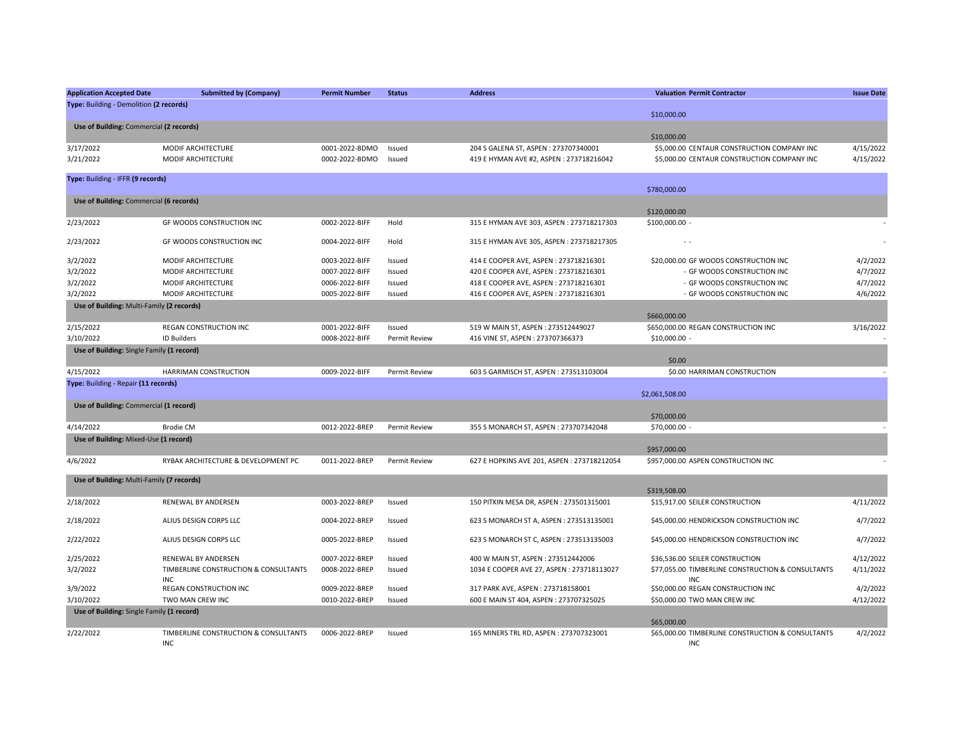| <b>Application Accepted Date</b><br>Type: Building - Demolition (2 records) | <b>Submitted by (Company)</b>                       | <b>Permit Number</b> | <b>Status</b>        | <b>Address</b>                              | <b>Valuation Permit Contractor</b><br>\$10,000.00               | <b>Issue Date</b> |
|-----------------------------------------------------------------------------|-----------------------------------------------------|----------------------|----------------------|---------------------------------------------|-----------------------------------------------------------------|-------------------|
| Use of Building: Commercial (2 records)                                     |                                                     |                      |                      |                                             |                                                                 |                   |
|                                                                             |                                                     |                      |                      |                                             | \$10,000.00                                                     |                   |
| 3/17/2022                                                                   | MODIF ARCHITECTURE                                  | 0001-2022-BDMO       | Issued               | 204 S GALENA ST, ASPEN : 273707340001       | \$5,000.00 CENTAUR CONSTRUCTION COMPANY INC                     | 4/15/2022         |
| 3/21/2022                                                                   | MODIF ARCHITECTURE                                  | 0002-2022-BDMO       | Issued               | 419 E HYMAN AVE #2, ASPEN : 273718216042    | \$5,000.00 CENTAUR CONSTRUCTION COMPANY INC                     | 4/15/2022         |
| Type: Building - IFFR (9 records)                                           |                                                     |                      |                      |                                             | \$780,000.00                                                    |                   |
| Use of Building: Commercial (6 records)                                     |                                                     |                      |                      |                                             |                                                                 |                   |
|                                                                             |                                                     |                      |                      |                                             | \$120,000.00                                                    |                   |
| 2/23/2022                                                                   | GF WOODS CONSTRUCTION INC                           | 0002-2022-BIFF       | Hold                 | 315 E HYMAN AVE 303, ASPEN: 273718217303    | \$100,000.00                                                    |                   |
| 2/23/2022                                                                   | GF WOODS CONSTRUCTION INC                           | 0004-2022-BIFF       | Hold                 | 315 E HYMAN AVE 305, ASPEN: 273718217305    | $\sim$ $\sim$                                                   |                   |
| 3/2/2022                                                                    | MODIF ARCHITECTURE                                  | 0003-2022-BIFF       | Issued               | 414 E COOPER AVE, ASPEN : 273718216301      | \$20,000.00 GF WOODS CONSTRUCTION INC                           | 4/2/2022          |
| 3/2/2022                                                                    | MODIF ARCHITECTURE                                  | 0007-2022-BIFF       | Issued               | 420 E COOPER AVE, ASPEN: 273718216301       | - GF WOODS CONSTRUCTION INC                                     | 4/7/2022          |
| 3/2/2022                                                                    | MODIF ARCHITECTURE                                  | 0006-2022-BIFF       | Issued               | 418 E COOPER AVE, ASPEN : 273718216301      | - GF WOODS CONSTRUCTION INC                                     | 4/7/2022          |
| 3/2/2022                                                                    | MODIF ARCHITECTURE                                  | 0005-2022-BIFF       | Issued               | 416 E COOPER AVE, ASPEN : 273718216301      | - GF WOODS CONSTRUCTION INC                                     | 4/6/2022          |
| Use of Building: Multi-Family (2 records)                                   |                                                     |                      |                      |                                             | \$660,000.00                                                    |                   |
| 2/15/2022                                                                   | REGAN CONSTRUCTION INC                              | 0001-2022-BIFF       | Issued               | 519 W MAIN ST, ASPEN: 273512449027          | \$650,000.00 REGAN CONSTRUCTION INC                             | 3/16/2022         |
| 3/10/2022                                                                   | <b>ID Builders</b>                                  | 0008-2022-BIFF       | Permit Review        | 416 VINE ST, ASPEN : 273707366373           | $$10,000.00$ -                                                  |                   |
| Use of Building: Single Family (1 record)                                   |                                                     |                      |                      |                                             |                                                                 |                   |
|                                                                             |                                                     |                      |                      |                                             | \$0.00                                                          |                   |
| 4/15/2022                                                                   | HARRIMAN CONSTRUCTION                               | 0009-2022-BIFF       | <b>Permit Review</b> | 603 S GARMISCH ST, ASPEN: 273513103004      | \$0.00 HARRIMAN CONSTRUCTION                                    |                   |
| Type: Building - Repair (11 records)                                        |                                                     |                      |                      |                                             | \$2,061,508.00                                                  |                   |
| Use of Building: Commercial (1 record)                                      |                                                     |                      |                      |                                             |                                                                 |                   |
| 4/14/2022                                                                   | <b>Brodie CM</b>                                    | 0012-2022-BREP       | <b>Permit Review</b> |                                             | \$70,000.00<br>\$70,000.00                                      |                   |
|                                                                             |                                                     |                      |                      | 355 S MONARCH ST, ASPEN: 273707342048       |                                                                 |                   |
| Use of Building: Mixed-Use (1 record)                                       |                                                     |                      |                      |                                             | \$957,000.00                                                    |                   |
| 4/6/2022                                                                    | RYBAK ARCHITECTURE & DEVELOPMENT PC                 | 0011-2022-BREP       | Permit Review        | 627 E HOPKINS AVE 201, ASPEN : 273718212054 | \$957,000.00 ASPEN CONSTRUCTION INC                             |                   |
| Use of Building: Multi-Family (7 records)                                   |                                                     |                      |                      |                                             |                                                                 |                   |
|                                                                             |                                                     |                      |                      |                                             | \$319,508.00                                                    |                   |
| 2/18/2022                                                                   | RENEWAL BY ANDERSEN                                 | 0003-2022-BREP       | Issued               | 150 PITKIN MESA DR, ASPEN: 273501315001     | \$15,917.00 SEILER CONSTRUCTION                                 | 4/11/2022         |
| 2/18/2022                                                                   | ALIUS DESIGN CORPS LLC                              | 0004-2022-BREP       | Issued               | 623 S MONARCH ST A, ASPEN: 273513135001     | \$45,000.00 HENDRICKSON CONSTRUCTION INC                        | 4/7/2022          |
| 2/22/2022                                                                   | ALIUS DESIGN CORPS LLC                              | 0005-2022-BREP       | Issued               | 623 S MONARCH ST C, ASPEN: 273513135003     | \$45,000.00 HENDRICKSON CONSTRUCTION INC                        | 4/7/2022          |
| 2/25/2022                                                                   | RENEWAL BY ANDERSEN                                 | 0007-2022-BREP       | Issued               | 400 W MAIN ST, ASPEN: 273512442006          | \$36,536.00 SEILER CONSTRUCTION                                 | 4/12/2022         |
| 3/2/2022                                                                    | TIMBERLINE CONSTRUCTION & CONSULTANTS<br><b>INC</b> | 0008-2022-BREP       | Issued               | 1034 E COOPER AVE 27, ASPEN : 273718113027  | \$77,055.00 TIMBERLINE CONSTRUCTION & CONSULTANTS<br><b>INC</b> | 4/11/2022         |
| 3/9/2022                                                                    | REGAN CONSTRUCTION INC                              | 0009-2022-BREP       | Issued               | 317 PARK AVE, ASPEN: 273718158001           | \$50,000.00 REGAN CONSTRUCTION INC                              | 4/2/2022          |
| 3/10/2022                                                                   | TWO MAN CREW INC                                    | 0010-2022-BREP       | Issued               | 600 E MAIN ST 404, ASPEN : 273707325025     | \$50,000.00 TWO MAN CREW INC                                    | 4/12/2022         |
| Use of Building: Single Family (1 record)                                   |                                                     |                      |                      |                                             | \$65,000.00                                                     |                   |
| 2/22/2022                                                                   | TIMBERLINE CONSTRUCTION & CONSULTANTS<br>INC        | 0006-2022-BREP       | Issued               | 165 MINERS TRL RD, ASPEN: 273707323001      | \$65,000.00 TIMBERLINE CONSTRUCTION & CONSULTANTS<br><b>INC</b> | 4/2/2022          |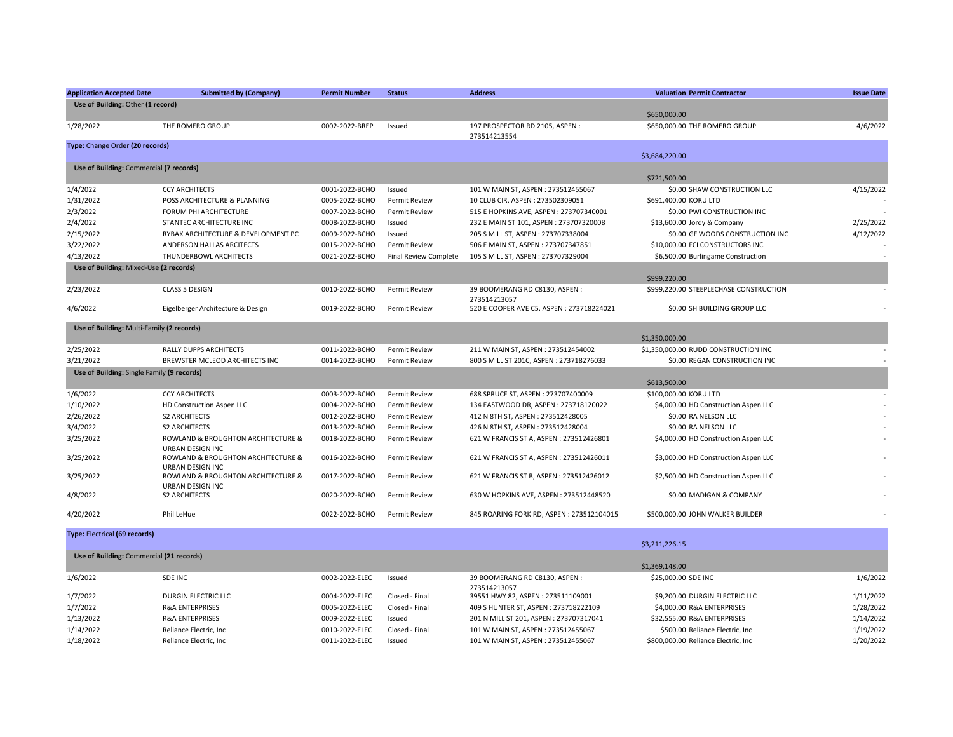| <b>Application Accepted Date</b>           | <b>Submitted by (Company)</b>                                 | <b>Permit Number</b> | <b>Status</b>         | <b>Address</b>                                 | <b>Valuation Permit Contractor</b>     | <b>Issue Date</b> |
|--------------------------------------------|---------------------------------------------------------------|----------------------|-----------------------|------------------------------------------------|----------------------------------------|-------------------|
| Use of Building: Other (1 record)          |                                                               |                      |                       |                                                |                                        |                   |
|                                            |                                                               |                      |                       |                                                | \$650,000.00                           |                   |
| 1/28/2022                                  | THE ROMERO GROUP                                              | 0002-2022-BREP       | Issued                | 197 PROSPECTOR RD 2105, ASPEN:<br>273514213554 | \$650,000.00 THE ROMERO GROUP          | 4/6/2022          |
| Type: Change Order (20 records)            |                                                               |                      |                       |                                                |                                        |                   |
|                                            |                                                               |                      |                       |                                                | \$3,684,220.00                         |                   |
| Use of Building: Commercial (7 records)    |                                                               |                      |                       |                                                | \$721,500.00                           |                   |
| 1/4/2022                                   | <b>CCY ARCHITECTS</b>                                         | 0001-2022-BCHO       | Issued                | 101 W MAIN ST, ASPEN: 273512455067             | \$0.00 SHAW CONSTRUCTION LLC           | 4/15/2022         |
| 1/31/2022                                  | POSS ARCHITECTURE & PLANNING                                  | 0005-2022-BCHO       | Permit Review         | 10 CLUB CIR, ASPEN: 273502309051               | \$691,400.00 KORU LTD                  |                   |
| 2/3/2022                                   | FORUM PHI ARCHITECTURE                                        | 0007-2022-BCHO       | <b>Permit Review</b>  | 515 E HOPKINS AVE, ASPEN : 273707340001        | \$0.00 PWI CONSTRUCTION INC            |                   |
| 2/4/2022                                   | STANTEC ARCHITECTURE INC                                      | 0008-2022-BCHO       | Issued                | 232 E MAIN ST 101, ASPEN : 273707320008        | \$13,600.00 Jordy & Company            | 2/25/2022         |
| 2/15/2022                                  | RYBAK ARCHITECTURE & DEVELOPMENT PC                           | 0009-2022-BCHO       | Issued                | 205 S MILL ST, ASPEN: 273707338004             | \$0.00 GF WOODS CONSTRUCTION INC       | 4/12/2022         |
| 3/22/2022                                  | ANDERSON HALLAS ARCITECTS                                     | 0015-2022-BCHO       | Permit Review         | 506 E MAIN ST, ASPEN: 273707347851             | \$10,000.00 FCI CONSTRUCTORS INC       |                   |
| 4/13/2022                                  | THUNDERBOWL ARCHITECTS                                        | 0021-2022-BCHO       | Final Review Complete | 105 S MILL ST, ASPEN : 273707329004            | \$6,500.00 Burlingame Construction     |                   |
| Use of Building: Mixed-Use (2 records)     |                                                               |                      |                       |                                                | \$999,220.00                           |                   |
| 2/23/2022                                  | <b>CLASS 5 DESIGN</b>                                         | 0010-2022-BCHO       | Permit Review         | 39 BOOMERANG RD C8130, ASPEN :                 | \$999,220.00 STEEPLECHASE CONSTRUCTION |                   |
|                                            |                                                               |                      |                       | 273514213057                                   |                                        |                   |
| 4/6/2022                                   | Eigelberger Architecture & Design                             | 0019-2022-BCHO       | <b>Permit Review</b>  | 520 E COOPER AVE C5, ASPEN: 273718224021       | \$0.00 SH BUILDING GROUP LLC           |                   |
| Use of Building: Multi-Family (2 records)  |                                                               |                      |                       |                                                |                                        |                   |
|                                            |                                                               |                      |                       |                                                | \$1,350,000.00                         |                   |
| 2/25/2022                                  | RALLY DUPPS ARCHITECTS                                        | 0011-2022-BCHO       | <b>Permit Review</b>  | 211 W MAIN ST, ASPEN: 273512454002             | \$1,350,000.00 RUDD CONSTRUCTION INC   |                   |
| 3/21/2022                                  | BREWSTER MCLEOD ARCHITECTS INC                                | 0014-2022-BCHO       | <b>Permit Review</b>  | 800 S MILL ST 201C, ASPEN: 273718276033        | \$0.00 REGAN CONSTRUCTION INC          |                   |
| Use of Building: Single Family (9 records) |                                                               |                      |                       |                                                | \$613,500.00                           |                   |
| 1/6/2022                                   | <b>CCY ARCHITECTS</b>                                         | 0003-2022-BCHO       | Permit Review         | 688 SPRUCE ST, ASPEN: 273707400009             | \$100,000.00 KORU LTD                  |                   |
| 1/10/2022                                  | HD Construction Aspen LLC                                     | 0004-2022-BCHO       | <b>Permit Review</b>  | 134 EASTWOOD DR, ASPEN: 273718120022           | \$4,000.00 HD Construction Aspen LLC   |                   |
| 2/26/2022                                  | <b>S2 ARCHITECTS</b>                                          | 0012-2022-BCHO       | Permit Review         | 412 N 8TH ST, ASPEN: 273512428005              | \$0.00 RA NELSON LLC                   |                   |
| 3/4/2022                                   | <b>S2 ARCHITECTS</b>                                          | 0013-2022-BCHO       | <b>Permit Review</b>  | 426 N 8TH ST, ASPEN: 273512428004              | \$0.00 RA NELSON LLC                   |                   |
| 3/25/2022                                  | ROWLAND & BROUGHTON ARCHITECTURE &                            | 0018-2022-BCHO       | <b>Permit Review</b>  | 621 W FRANCIS ST A, ASPEN: 273512426801        | \$4,000.00 HD Construction Aspen LLC   |                   |
| 3/25/2022                                  | URBAN DESIGN INC<br>ROWLAND & BROUGHTON ARCHITECTURE &        | 0016-2022-BCHO       | Permit Review         | 621 W FRANCIS ST A, ASPEN: 273512426011        | \$3,000.00 HD Construction Aspen LLC   |                   |
|                                            | <b>URBAN DESIGN INC</b>                                       |                      |                       |                                                |                                        |                   |
| 3/25/2022                                  | ROWLAND & BROUGHTON ARCHITECTURE &<br><b>URBAN DESIGN INC</b> | 0017-2022-BCHO       | <b>Permit Review</b>  | 621 W FRANCIS ST B, ASPEN: 273512426012        | \$2,500.00 HD Construction Aspen LLC   |                   |
| 4/8/2022                                   | <b>S2 ARCHITECTS</b>                                          | 0020-2022-BCHO       | <b>Permit Review</b>  | 630 W HOPKINS AVE, ASPEN: 273512448520         | \$0.00 MADIGAN & COMPANY               |                   |
| 4/20/2022                                  | Phil LeHue                                                    | 0022-2022-BCHO       | <b>Permit Review</b>  | 845 ROARING FORK RD, ASPEN: 273512104015       | \$500,000.00 JOHN WALKER BUILDER       |                   |
| Type: Electrical (69 records)              |                                                               |                      |                       |                                                |                                        |                   |
|                                            |                                                               |                      |                       |                                                | \$3.211.226.15                         |                   |
| Use of Building: Commercial (21 records)   |                                                               |                      |                       |                                                | \$1,369,148.00                         |                   |
| 1/6/2022                                   | <b>SDE INC</b>                                                | 0002-2022-ELEC       | Issued                | 39 BOOMERANG RD C8130, ASPEN:<br>273514213057  | \$25,000.00 SDE INC                    | 1/6/2022          |
| 1/7/2022                                   | <b>DURGIN ELECTRIC LLC</b>                                    | 0004-2022-ELEC       | Closed - Final        | 39551 HWY 82, ASPEN: 273511109001              | \$9,200.00 DURGIN ELECTRIC LLC         | 1/11/2022         |
| 1/7/2022                                   | <b>R&amp;A ENTERPRISES</b>                                    | 0005-2022-ELEC       | Closed - Final        | 409 S HUNTER ST, ASPEN: 273718222109           | \$4,000.00 R&A ENTERPRISES             | 1/28/2022         |
| 1/13/2022                                  | <b>R&amp;A ENTERPRISES</b>                                    | 0009-2022-ELEC       | Issued                | 201 N MILL ST 201, ASPEN: 273707317041         | \$32,555.00 R&A ENTERPRISES            | 1/14/2022         |
| 1/14/2022                                  | Reliance Electric, Inc.                                       | 0010-2022-ELEC       | Closed - Final        | 101 W MAIN ST, ASPEN: 273512455067             | \$500.00 Reliance Electric, Inc.       | 1/19/2022         |

1/18/2022 Reliance Electric, Inc 0011-2022-ELEC Issued 101 W MAIN ST, ASPEN : 273512455067 \$800,000.00 Reliance Electric, Inc 1/20/2022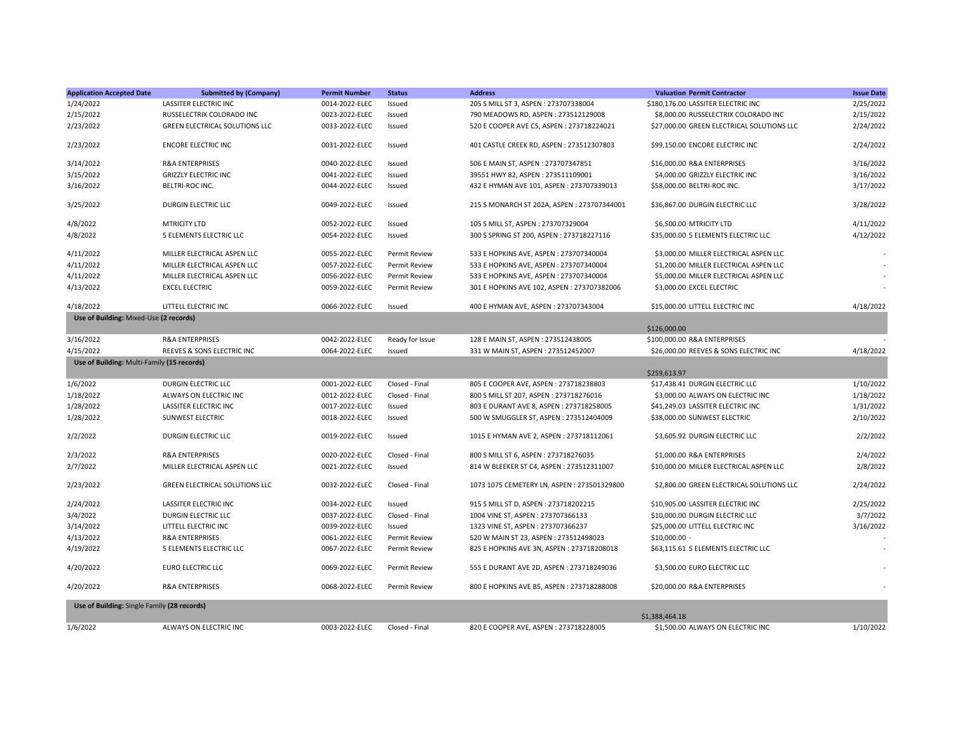| <b>Application Accepted Date</b>            | <b>Submitted by (Company)</b>         | <b>Permit Number</b> | <b>Status</b>   | <b>Address</b>                             | <b>Valuation Permit Contractor</b>         | <b>Issue Date</b> |
|---------------------------------------------|---------------------------------------|----------------------|-----------------|--------------------------------------------|--------------------------------------------|-------------------|
| 1/24/2022                                   | <b>LASSITER ELECTRIC INC</b>          | 0014-2022-ELEC       | Issued          | 205 S MILL ST 3, ASPEN: 273707338004       | \$180,176.00 LASSITER ELECTRIC INC         | 2/25/2022         |
| 2/15/2022                                   | RUSSELECTRIX COLORADO INC             | 0023-2022-ELEC       | Issued          | 790 MEADOWS RD, ASPEN: 273512129008        | \$8,000.00 RUSSELECTRIX COLORADO INC       | 2/15/2022         |
| 2/23/2022                                   | <b>GREEN ELECTRICAL SOLUTIONS LLC</b> | 0033-2022-ELEC       | Issued          | 520 E COOPER AVE C5, ASPEN: 273718224021   | \$27,000.00 GREEN ELECTRICAL SOLUTIONS LLC | 2/24/2022         |
| 2/23/2022                                   | <b>ENCORE ELECTRIC INC</b>            | 0031-2022-ELEC       | Issued          | 401 CASTLE CREEK RD, ASPEN: 273512307803   | \$99,150.00 ENCORE ELECTRIC INC            | 2/24/2022         |
| 3/14/2022                                   | <b>R&amp;A ENTERPRISES</b>            | 0040-2022-ELEC       | Issued          | 506 E MAIN ST, ASPEN: 273707347851         | \$16,000.00 R&A ENTERPRISES                | 3/16/2022         |
| 3/15/2022                                   | <b>GRIZZLY ELECTRIC INC</b>           | 0041-2022-ELEC       | Issued          | 39551 HWY 82, ASPEN: 273511109001          | \$4,000.00 GRIZZLY ELECTRIC INC            | 3/16/2022         |
| 3/16/2022                                   | BELTRI-ROC INC.                       | 0044-2022-ELEC       | Issued          | 432 E HYMAN AVE 101, ASPEN: 273707339013   | \$58,000.00 BELTRI-ROC INC.                | 3/17/2022         |
| 3/25/2022                                   | <b>DURGIN ELECTRIC LLC</b>            | 0049-2022-ELEC       | Issued          | 215 S MONARCH ST 202A, ASPEN: 273707344001 | \$36,867.00 DURGIN ELECTRIC LLC            | 3/28/2022         |
| 4/8/2022                                    | <b>MTRICITY LTD</b>                   | 0052-2022-ELEC       | Issued          | 105 S MILL ST, ASPEN: 273707329004         | \$6,500.00 MTRICITY LTD                    | 4/11/2022         |
| 4/8/2022                                    | 5 ELEMENTS ELECTRIC LLC               | 0054-2022-ELEC       | Issued          | 300 S SPRING ST 200, ASPEN: 273718227116   | \$35,000.00 5 ELEMENTS ELECTRIC LLC        | 4/12/2022         |
| 4/11/2022                                   | MILLER ELECTRICAL ASPEN LLC           | 0055-2022-ELEC       | Permit Review   | 533 E HOPKINS AVE, ASPEN: 273707340004     | \$3,000.00 MILLER ELECTRICAL ASPEN LLC     |                   |
| 4/11/2022                                   | MILLER ELECTRICAL ASPEN LLC           | 0057-2022-ELEC       | Permit Review   | 533 E HOPKINS AVE, ASPEN: 273707340004     | \$1,200.00 MILLER ELECTRICAL ASPEN LLC     |                   |
| 4/11/2022                                   | MILLER ELECTRICAL ASPEN LLC           | 0056-2022-ELEC       | Permit Review   | 533 E HOPKINS AVE, ASPEN: 273707340004     | \$5,000.00 MILLER ELECTRICAL ASPEN LLC     |                   |
| 4/13/2022                                   | <b>EXCEL ELECTRIC</b>                 | 0059-2022-ELEC       | Permit Review   | 301 E HOPKINS AVE 102, ASPEN: 273707382006 | \$3,000.00 EXCEL ELECTRIC                  |                   |
| 4/18/2022                                   | LITTELL ELECTRIC INC                  | 0066-2022-ELEC       | Issued          | 400 E HYMAN AVE, ASPEN: 273707343004       | \$15,000.00 LITTELL ELECTRIC INC           | 4/18/2022         |
| Use of Building: Mixed-Use (2 records)      |                                       |                      |                 |                                            | \$126,000.00                               |                   |
| 3/16/2022                                   | <b>R&amp;A ENTERPRISES</b>            | 0042-2022-ELEC       | Ready for Issue | 128 E MAIN ST, ASPEN: 273512438005         | \$100,000.00 R&A ENTERPRISES               |                   |
| 4/15/2022                                   | <b>REEVES &amp; SONS ELECTRIC INC</b> | 0064-2022-ELEC       | Issued          | 331 W MAIN ST, ASPEN: 273512452007         | \$26,000.00 REEVES & SONS ELECTRIC INC     | 4/18/2022         |
| Use of Building: Multi-Family (15 records)  |                                       |                      |                 |                                            |                                            |                   |
|                                             |                                       |                      |                 |                                            | \$259,613.97                               |                   |
| 1/6/2022                                    | DURGIN ELECTRIC LLC                   | 0001-2022-ELEC       | Closed - Final  | 805 E COOPER AVE, ASPEN: 273718238803      | \$17,438.41 DURGIN ELECTRIC LLC            | 1/10/2022         |
| 1/18/2022                                   | ALWAYS ON ELECTRIC INC                | 0012-2022-ELEC       | Closed - Final  | 800 S MILL ST 207, ASPEN : 273718276016    | \$3,000.00 ALWAYS ON ELECTRIC INC          | 1/18/2022         |
| 1/28/2022                                   | <b>LASSITER ELECTRIC INC</b>          | 0017-2022-ELEC       | Issued          | 803 E DURANT AVE 8, ASPEN : 273718258005   | \$41,249.03 LASSITER ELECTRIC INC          | 1/31/2022         |
| 1/28/2022                                   | <b>SUNWEST ELECTRIC</b>               | 0018-2022-ELEC       | Issued          | 500 W SMUGGLER ST, ASPEN: 273512404009     | \$38,000.00 SUNWEST ELECTRIC               | 2/10/2022         |
| 2/2/2022                                    | DURGIN ELECTRIC LLC                   | 0019-2022-ELEC       | Issued          | 1015 E HYMAN AVE 2, ASPEN: 273718112061    | \$3,605.92 DURGIN ELECTRIC LLC             | 2/2/2022          |
| 2/3/2022                                    | <b>R&amp;A ENTERPRISES</b>            | 0020-2022-ELEC       | Closed - Final  | 800 S MILL ST 6, ASPEN: 273718276035       | \$1,000.00 R&A ENTERPRISES                 | 2/4/2022          |
| 2/7/2022                                    | MILLER ELECTRICAL ASPEN LLC           | 0021-2022-ELEC       | Issued          | 814 W BLEEKER ST C4, ASPEN: 273512311007   | \$10,000.00 MILLER ELECTRICAL ASPEN LLC    | 2/8/2022          |
| 2/23/2022                                   | <b>GREEN ELECTRICAL SOLUTIONS LLC</b> | 0032-2022-ELEC       | Closed - Final  | 1073 1075 CEMETERY LN, ASPEN: 273501329800 | \$2,800.00 GREEN ELECTRICAL SOLUTIONS LLC  | 2/24/2022         |
| 2/24/2022                                   | <b>LASSITER ELECTRIC INC</b>          | 0034-2022-ELEC       | Issued          | 915 S MILL ST D, ASPEN: 273718202215       | \$10,905.00 LASSITER ELECTRIC INC          | 2/25/2022         |
| 3/4/2022                                    | <b>DURGIN ELECTRIC LLC</b>            | 0037-2022-ELEC       | Closed - Final  | 1004 VINE ST, ASPEN: 273707366133          | \$10,000.00 DURGIN ELECTRIC LLC            | 3/7/2022          |
| 3/14/2022                                   | LITTELL ELECTRIC INC                  | 0039-2022-ELEC       | Issued          | 1323 VINE ST, ASPEN: 273707366237          | \$25,000.00 LITTELL ELECTRIC INC           | 3/16/2022         |
| 4/13/2022                                   | <b>R&amp;A ENTERPRISES</b>            | 0061-2022-ELEC       | Permit Review   | 520 W MAIN ST 23, ASPEN: 273512498023      | $$10.000.00 -$                             |                   |
| 4/19/2022                                   | 5 ELEMENTS ELECTRIC LLC               | 0067-2022-ELEC       | Permit Review   | 825 E HOPKINS AVE 3N, ASPEN : 273718208018 | \$63,115.61 5 ELEMENTS ELECTRIC LLC        |                   |
| 4/20/2022                                   | <b>EURO ELECTRIC LLC</b>              | 0069-2022-ELEC       | Permit Review   | 555 E DURANT AVE 2D, ASPEN: 273718249036   | \$3,500.00 EURO ELECTRIC LLC               |                   |
| 4/20/2022                                   | <b>R&amp;A ENTERPRISES</b>            | 0068-2022-ELEC       | Permit Review   | 800 E HOPKINS AVE B5, ASPEN: 273718288008  | \$20,000.00 R&A ENTERPRISES                |                   |
| Use of Building: Single Family (28 records) |                                       |                      |                 |                                            |                                            |                   |
|                                             |                                       |                      |                 |                                            | \$1,388,464.18                             |                   |
| 1/6/2022                                    | ALWAYS ON ELECTRIC INC                | 0003-2022-ELEC       | Closed - Final  | 820 E COOPER AVE, ASPEN: 273718228005      | \$1,500.00 ALWAYS ON ELECTRIC INC          | 1/10/2022         |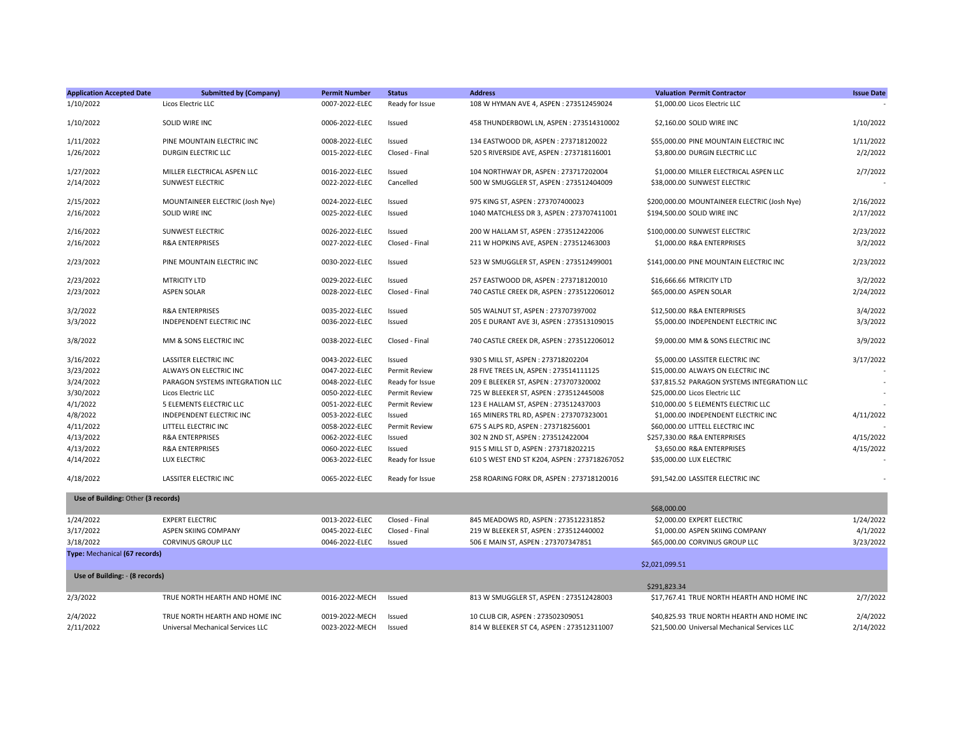| <b>Application Accepted Date</b>   | <b>Submitted by (Company)</b>     | <b>Permit Number</b> | <b>Status</b>        | <b>Address</b>                              | <b>Valuation Permit Contractor</b>            | <b>Issue Date</b> |
|------------------------------------|-----------------------------------|----------------------|----------------------|---------------------------------------------|-----------------------------------------------|-------------------|
| 1/10/2022                          | Licos Electric LLC                | 0007-2022-ELEC       | Ready for Issue      | 108 W HYMAN AVE 4, ASPEN: 273512459024      | \$1,000.00 Licos Electric LLC                 |                   |
| 1/10/2022                          | <b>SOLID WIRE INC</b>             | 0006-2022-ELEC       | Issued               | 458 THUNDERBOWL LN, ASPEN: 273514310002     | \$2,160.00 SOLID WIRE INC                     | 1/10/2022         |
| 1/11/2022                          | PINE MOUNTAIN ELECTRIC INC        | 0008-2022-ELEC       | Issued               | 134 EASTWOOD DR, ASPEN: 273718120022        | \$55,000.00 PINE MOUNTAIN ELECTRIC INC        | 1/11/2022         |
| 1/26/2022                          | DURGIN ELECTRIC LLC               | 0015-2022-ELEC       | Closed - Final       | 520 S RIVERSIDE AVE, ASPEN : 273718116001   | \$3,800.00 DURGIN ELECTRIC LLC                | 2/2/2022          |
|                                    |                                   |                      |                      |                                             |                                               |                   |
| 1/27/2022                          | MILLER ELECTRICAL ASPEN LLC       | 0016-2022-ELEC       | Issued               | 104 NORTHWAY DR, ASPEN: 273717202004        | \$1,000.00 MILLER ELECTRICAL ASPEN LLC        | 2/7/2022          |
| 2/14/2022                          | <b>SUNWEST ELECTRIC</b>           | 0022-2022-ELEC       | Cancelled            | 500 W SMUGGLER ST, ASPEN: 273512404009      | \$38,000.00 SUNWEST ELECTRIC                  |                   |
| 2/15/2022                          | MOUNTAINEER ELECTRIC (Josh Nye)   | 0024-2022-ELEC       | Issued               | 975 KING ST, ASPEN: 273707400023            | \$200,000.00 MOUNTAINEER ELECTRIC (Josh Nye)  | 2/16/2022         |
| 2/16/2022                          | SOLID WIRE INC                    | 0025-2022-ELEC       | Issued               | 1040 MATCHLESS DR 3, ASPEN: 273707411001    | \$194,500.00 SOLID WIRE INC                   | 2/17/2022         |
|                                    |                                   |                      |                      |                                             |                                               |                   |
| 2/16/2022                          | <b>SUNWEST ELECTRIC</b>           | 0026-2022-ELEC       | Issued               | 200 W HALLAM ST, ASPEN: 273512422006        | \$100,000.00 SUNWEST ELECTRIC                 | 2/23/2022         |
| 2/16/2022                          | <b>R&amp;A ENTERPRISES</b>        | 0027-2022-ELEC       | Closed - Final       | 211 W HOPKINS AVE, ASPEN: 273512463003      | \$1,000.00 R&A ENTERPRISES                    | 3/2/2022          |
| 2/23/2022                          | PINE MOUNTAIN ELECTRIC INC        | 0030-2022-ELEC       | Issued               | 523 W SMUGGLER ST, ASPEN: 273512499001      | \$141,000.00 PINE MOUNTAIN ELECTRIC INC       | 2/23/2022         |
| 2/23/2022                          | <b>MTRICITY LTD</b>               | 0029-2022-ELEC       | Issued               | 257 EASTWOOD DR, ASPEN: 273718120010        | \$16,666.66 MTRICITY LTD                      | 3/2/2022          |
| 2/23/2022                          | <b>ASPEN SOLAR</b>                | 0028-2022-ELEC       | Closed - Final       | 740 CASTLE CREEK DR, ASPEN: 273512206012    | \$65,000.00 ASPEN SOLAR                       | 2/24/2022         |
|                                    |                                   |                      |                      |                                             |                                               |                   |
| 3/2/2022                           | <b>R&amp;A ENTERPRISES</b>        | 0035-2022-ELEC       | Issued               | 505 WALNUT ST, ASPEN: 273707397002          | \$12,500.00 R&A ENTERPRISES                   | 3/4/2022          |
| 3/3/2022                           | INDEPENDENT ELECTRIC INC          | 0036-2022-ELEC       | Issued               | 205 E DURANT AVE 3I, ASPEN: 273513109015    | \$5,000.00 INDEPENDENT ELECTRIC INC           | 3/3/2022          |
| 3/8/2022                           | MM & SONS ELECTRIC INC            | 0038-2022-ELEC       | Closed - Final       | 740 CASTLE CREEK DR, ASPEN: 273512206012    | \$9,000.00 MM & SONS ELECTRIC INC             | 3/9/2022          |
| 3/16/2022                          | <b>LASSITER ELECTRIC INC</b>      | 0043-2022-ELEC       | Issued               | 930 S MILL ST, ASPEN: 273718202204          | \$5,000.00 LASSITER ELECTRIC INC              | 3/17/2022         |
| 3/23/2022                          | ALWAYS ON ELECTRIC INC            | 0047-2022-ELEC       | Permit Review        | 28 FIVE TREES LN, ASPEN: 273514111125       | \$15,000.00 ALWAYS ON ELECTRIC INC            |                   |
| 3/24/2022                          | PARAGON SYSTEMS INTEGRATION LLC   | 0048-2022-ELEC       | Ready for Issue      | 209 E BLEEKER ST, ASPEN: 273707320002       | \$37,815.52 PARAGON SYSTEMS INTEGRATION LLC   |                   |
| 3/30/2022                          | Licos Electric LLC                | 0050-2022-ELEC       | <b>Permit Review</b> | 725 W BLEEKER ST, ASPEN: 273512445008       | \$25,000.00 Licos Electric LLC                |                   |
| 4/1/2022                           | 5 ELEMENTS ELECTRIC LLC           | 0051-2022-ELEC       | Permit Review        | 123 E HALLAM ST, ASPEN: 273512437003        | \$10,000.00 5 ELEMENTS ELECTRIC LLC           |                   |
| 4/8/2022                           | INDEPENDENT ELECTRIC INC          | 0053-2022-ELEC       | Issued               | 165 MINERS TRL RD, ASPEN: 273707323001      | \$1,000.00 INDEPENDENT ELECTRIC INC           | 4/11/2022         |
| 4/11/2022                          | LITTELL ELECTRIC INC              | 0058-2022-ELEC       | Permit Review        | 675 S ALPS RD, ASPEN: 273718256001          | \$60,000.00 LITTELL ELECTRIC INC              |                   |
| 4/13/2022                          | <b>R&amp;A ENTERPRISES</b>        | 0062-2022-ELEC       | Issued               | 302 N 2ND ST, ASPEN: 273512422004           | \$257,330.00 R&A ENTERPRISES                  | 4/15/2022         |
| 4/13/2022                          | <b>R&amp;A ENTERPRISES</b>        | 0060-2022-ELEC       | Issued               | 915 S MILL ST D, ASPEN: 273718202215        | \$3,650.00 R&A ENTERPRISES                    | 4/15/2022         |
| 4/14/2022                          | <b>LUX ELECTRIC</b>               | 0063-2022-ELEC       | Ready for Issue      | 610 S WEST END ST K204, ASPEN: 273718267052 | \$35,000.00 LUX ELECTRIC                      |                   |
| 4/18/2022                          | <b>LASSITER ELECTRIC INC</b>      | 0065-2022-ELEC       | Ready for Issue      | 258 ROARING FORK DR, ASPEN : 273718120016   | \$91,542.00 LASSITER ELECTRIC INC             |                   |
| Use of Building: Other (3 records) |                                   |                      |                      |                                             |                                               |                   |
| 1/24/2022                          | <b>EXPERT ELECTRIC</b>            | 0013-2022-ELEC       | Closed - Final       | 845 MEADOWS RD, ASPEN: 273512231852         | \$68,000.00<br>\$2,000.00 EXPERT ELECTRIC     | 1/24/2022         |
| 3/17/2022                          | ASPEN SKIING COMPANY              | 0045-2022-ELEC       | Closed - Final       | 219 W BLEEKER ST, ASPEN: 273512440002       | \$1,000.00 ASPEN SKIING COMPANY               | 4/1/2022          |
| 3/18/2022                          | <b>CORVINUS GROUP LLC</b>         | 0046-2022-ELEC       | Issued               | 506 E MAIN ST, ASPEN: 273707347851          | \$65,000.00 CORVINUS GROUP LLC                | 3/23/2022         |
| Type: Mechanical (67 records)      |                                   |                      |                      |                                             |                                               |                   |
|                                    |                                   |                      |                      |                                             | \$2,021,099.51                                |                   |
| Use of Building: - (8 records)     |                                   |                      |                      |                                             | \$291,823.34                                  |                   |
| 2/3/2022                           | TRUE NORTH HEARTH AND HOME INC    | 0016-2022-MECH       | Issued               | 813 W SMUGGLER ST, ASPEN: 273512428003      | \$17,767.41 TRUE NORTH HEARTH AND HOME INC    | 2/7/2022          |
|                                    |                                   |                      |                      |                                             |                                               |                   |
| 2/4/2022                           | TRUE NORTH HEARTH AND HOME INC    | 0019-2022-MECH       | Issued               | 10 CLUB CIR, ASPEN: 273502309051            | \$40,825.93 TRUE NORTH HEARTH AND HOME INC    | 2/4/2022          |
| 2/11/2022                          | Universal Mechanical Services LLC | 0023-2022-MECH       | Issued               | 814 W BLEEKER ST C4, ASPEN: 273512311007    | \$21,500.00 Universal Mechanical Services LLC | 2/14/2022         |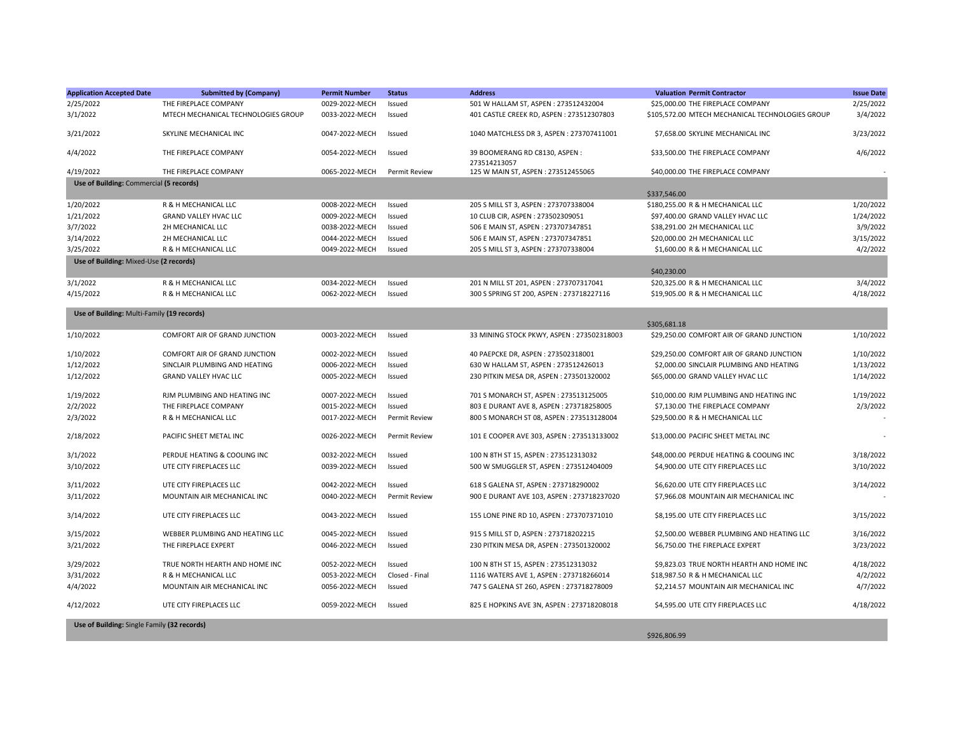| <b>Application Accepted Date</b>            | <b>Submitted by (Company)</b>        | <b>Permit Number</b> | <b>Status</b>        | <b>Address</b>                                | <b>Valuation Permit Contractor</b>               | <b>Issue Date</b> |
|---------------------------------------------|--------------------------------------|----------------------|----------------------|-----------------------------------------------|--------------------------------------------------|-------------------|
| 2/25/2022                                   | THE FIREPLACE COMPANY                | 0029-2022-MECH       | Issued               | 501 W HALLAM ST, ASPEN: 273512432004          | \$25,000.00 THE FIREPLACE COMPANY                | 2/25/2022         |
| 3/1/2022                                    | MTECH MECHANICAL TECHNOLOGIES GROUP  | 0033-2022-MECH       | Issued               | 401 CASTLE CREEK RD, ASPEN: 273512307803      | \$105,572.00 MTECH MECHANICAL TECHNOLOGIES GROUP | 3/4/2022          |
| 3/21/2022                                   | SKYLINE MECHANICAL INC               | 0047-2022-MECH       | Issued               | 1040 MATCHLESS DR 3, ASPEN: 273707411001      | \$7,658.00 SKYLINE MECHANICAL INC                | 3/23/2022         |
| 4/4/2022                                    | THE FIREPLACE COMPANY                | 0054-2022-MECH       | Issued               | 39 BOOMERANG RD C8130, ASPEN:<br>273514213057 | \$33,500.00 THE FIREPLACE COMPANY                | 4/6/2022          |
| 4/19/2022                                   | THE FIREPLACE COMPANY                | 0065-2022-MECH       | <b>Permit Review</b> | 125 W MAIN ST, ASPEN: 273512455065            | \$40,000,00 THE FIREPLACE COMPANY                |                   |
| Use of Building: Commercial (5 records)     |                                      |                      |                      |                                               | \$337,546.00                                     |                   |
| 1/20/2022                                   | R & H MECHANICAL LLC                 | 0008-2022-MECH       | Issued               | 205 S MILL ST 3, ASPEN: 273707338004          | \$180,255.00 R & H MECHANICAL LLC                | 1/20/2022         |
| 1/21/2022                                   | <b>GRAND VALLEY HVAC LLC</b>         | 0009-2022-MECH       | Issued               | 10 CLUB CIR, ASPEN: 273502309051              | \$97,400.00 GRAND VALLEY HVAC LLC                | 1/24/2022         |
| 3/7/2022                                    | 2H MECHANICAL LLC                    | 0038-2022-MECH       | Issued               | 506 E MAIN ST, ASPEN: 273707347851            | \$38,291.00 2H MECHANICAL LLC                    | 3/9/2022          |
| 3/14/2022                                   | 2H MECHANICAL LLC                    | 0044-2022-MECH       | Issued               | 506 E MAIN ST, ASPEN: 273707347851            | \$20,000.00 2H MECHANICAL LLC                    | 3/15/2022         |
| 3/25/2022                                   | R & H MECHANICAL LLC                 | 0049-2022-MECH       | Issued               | 205 S MILL ST 3, ASPEN: 273707338004          | \$1,600.00 R & H MECHANICAL LLC                  | 4/2/2022          |
| Use of Building: Mixed-Use (2 records)      |                                      |                      |                      |                                               |                                                  |                   |
|                                             |                                      |                      |                      |                                               | \$40,230.00                                      |                   |
| 3/1/2022                                    | R & H MECHANICAL LLC                 | 0034-2022-MECH       | Issued               | 201 N MILL ST 201, ASPEN: 273707317041        | \$20,325.00 R & H MECHANICAL LLC                 | 3/4/2022          |
| 4/15/2022                                   | R & H MECHANICAL LLC                 | 0062-2022-MECH       | Issued               | 300 S SPRING ST 200, ASPEN: 273718227116      | \$19,905.00 R & H MECHANICAL LLC                 | 4/18/2022         |
|                                             |                                      |                      |                      |                                               |                                                  |                   |
| Use of Building: Multi-Family (19 records)  |                                      |                      |                      |                                               |                                                  |                   |
|                                             |                                      |                      |                      |                                               | \$305,681.18                                     |                   |
| 1/10/2022                                   | COMFORT AIR OF GRAND JUNCTION        | 0003-2022-MECH       | Issued               | 33 MINING STOCK PKWY, ASPEN: 273502318003     | \$29,250.00 COMFORT AIR OF GRAND JUNCTION        | 1/10/2022         |
| 1/10/2022                                   | <b>COMFORT AIR OF GRAND JUNCTION</b> | 0002-2022-MECH       | Issued               | 40 PAEPCKE DR, ASPEN: 273502318001            | \$29,250.00 COMFORT AIR OF GRAND JUNCTION        | 1/10/2022         |
| 1/12/2022                                   | SINCLAIR PLUMBING AND HEATING        | 0006-2022-MECH       | Issued               | 630 W HALLAM ST, ASPEN: 273512426013          | \$2,000.00 SINCLAIR PLUMBING AND HEATING         | 1/13/2022         |
| 1/12/2022                                   | <b>GRAND VALLEY HVAC LLC</b>         | 0005-2022-MECH       | Issued               | 230 PITKIN MESA DR, ASPEN: 273501320002       | \$65,000.00 GRAND VALLEY HVAC LLC                | 1/14/2022         |
| 1/19/2022                                   | RJM PLUMBING AND HEATING INC         | 0007-2022-MECH       | Issued               | 701 S MONARCH ST, ASPEN: 273513125005         | \$10,000.00 RJM PLUMBING AND HEATING INC         | 1/19/2022         |
| 2/2/2022                                    | THE FIREPLACE COMPANY                | 0015-2022-MECH       | Issued               | 803 E DURANT AVE 8, ASPEN: 273718258005       | \$7,130.00 THE FIREPLACE COMPANY                 | 2/3/2022          |
| 2/3/2022                                    | R & H MECHANICAL LLC                 | 0017-2022-MECH       | Permit Review        | 800 S MONARCH ST 08, ASPEN: 273513128004      | \$29,500.00 R & H MECHANICAL LLC                 |                   |
| 2/18/2022                                   | PACIFIC SHEET METAL INC              | 0026-2022-MECH       | Permit Review        | 101 E COOPER AVE 303, ASPEN : 273513133002    | \$13,000.00 PACIFIC SHEET METAL INC              |                   |
| 3/1/2022                                    | PERDUE HEATING & COOLING INC         | 0032-2022-MECH       | Issued               | 100 N 8TH ST 15, ASPEN: 273512313032          | \$48,000.00 PERDUE HEATING & COOLING INC         | 3/18/2022         |
| 3/10/2022                                   | UTE CITY FIREPLACES LLC              | 0039-2022-MECH       | Issued               | 500 W SMUGGLER ST, ASPEN: 273512404009        | \$4,900.00 UTE CITY FIREPLACES LLC               | 3/10/2022         |
| 3/11/2022                                   | UTE CITY FIREPLACES LLC              | 0042-2022-MECH       | Issued               | 618 S GALENA ST, ASPEN: 273718290002          | \$6,620.00 UTE CITY FIREPLACES LLC               | 3/14/2022         |
| 3/11/2022                                   | MOUNTAIN AIR MECHANICAL INC          | 0040-2022-MECH       | Permit Review        | 900 E DURANT AVE 103, ASPEN : 273718237020    | \$7,966.08 MOUNTAIN AIR MECHANICAL INC           |                   |
| 3/14/2022                                   | UTE CITY FIREPLACES LLC              | 0043-2022-MECH       | Issued               | 155 LONE PINE RD 10, ASPEN : 273707371010     | \$8,195.00 UTE CITY FIREPLACES LLC               | 3/15/2022         |
| 3/15/2022                                   | WEBBER PLUMBING AND HEATING LLC      | 0045-2022-MECH       | Issued               | 915 S MILL ST D, ASPEN: 273718202215          | \$2,500.00 WEBBER PLUMBING AND HEATING LLC       | 3/16/2022         |
| 3/21/2022                                   | THE FIREPLACE EXPERT                 | 0046-2022-MECH       | Issued               | 230 PITKIN MESA DR, ASPEN: 273501320002       | \$6,750.00 THE FIREPLACE EXPERT                  | 3/23/2022         |
|                                             |                                      |                      |                      |                                               |                                                  |                   |
| 3/29/2022                                   | TRUE NORTH HEARTH AND HOME INC       | 0052-2022-MECH       | Issued               | 100 N 8TH ST 15, ASPEN: 273512313032          | \$9,823.03 TRUE NORTH HEARTH AND HOME INC        | 4/18/2022         |
| 3/31/2022                                   | R & H MECHANICAL LLC                 | 0053-2022-MECH       | Closed - Final       | 1116 WATERS AVE 1, ASPEN: 273718266014        | \$18,987.50 R & H MECHANICAL LLC                 | 4/2/2022          |
| 4/4/2022                                    | MOUNTAIN AIR MECHANICAL INC          | 0056-2022-MECH       | Issued               | 747 S GALENA ST 260, ASPEN: 273718278009      | \$2,214.57 MOUNTAIN AIR MECHANICAL INC           | 4/7/2022          |
| 4/12/2022                                   | UTE CITY FIREPLACES LLC              | 0059-2022-MECH       | Issued               | 825 E HOPKINS AVE 3N, ASPEN: 273718208018     | \$4,595.00 UTE CITY FIREPLACES LLC               | 4/18/2022         |
|                                             |                                      |                      |                      |                                               |                                                  |                   |
| Use of Building: Single Family (32 records) |                                      |                      |                      |                                               |                                                  |                   |

\$926,806.99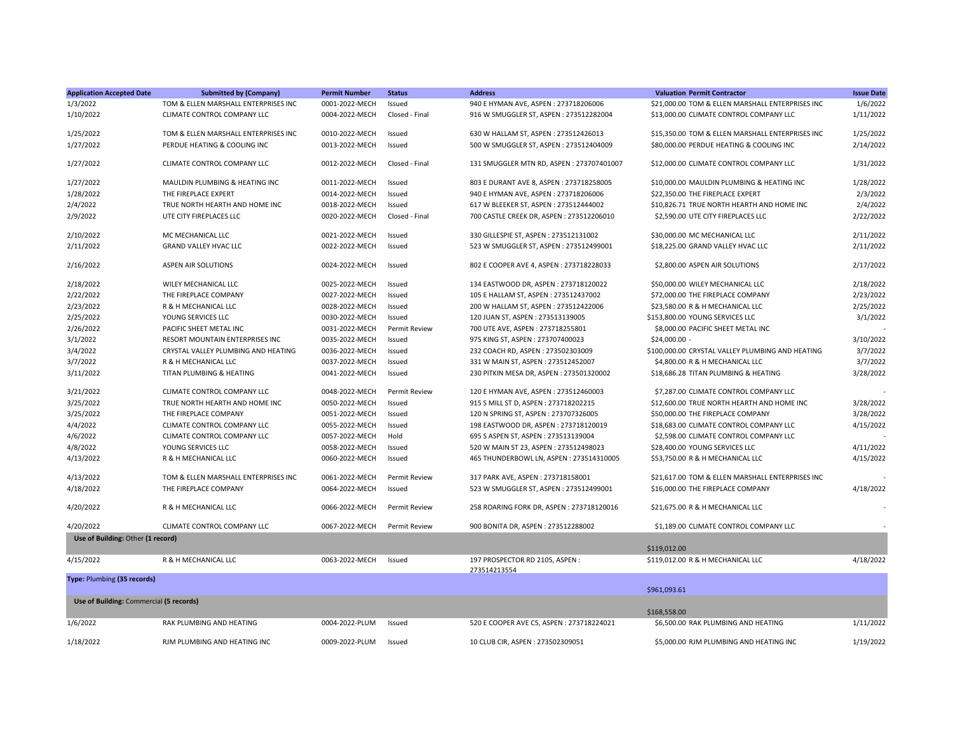| <b>Application Accepted Date</b>        | <b>Submitted by (Company)</b>        | <b>Permit Number</b> | <b>Status</b>        | <b>Address</b>                                 | <b>Valuation Permit Contractor</b>               | <b>Issue Date</b> |
|-----------------------------------------|--------------------------------------|----------------------|----------------------|------------------------------------------------|--------------------------------------------------|-------------------|
| 1/3/2022                                | TOM & ELLEN MARSHALL ENTERPRISES INC | 0001-2022-MECH       | Issued               | 940 E HYMAN AVE, ASPEN: 273718206006           | \$21,000.00 TOM & ELLEN MARSHALL ENTERPRISES INC | 1/6/2022          |
| 1/10/2022                               | <b>CLIMATE CONTROL COMPANY LLC</b>   | 0004-2022-MECH       | Closed - Final       | 916 W SMUGGLER ST, ASPEN: 273512282004         | \$13,000.00 CLIMATE CONTROL COMPANY LLC          | 1/11/2022         |
| 1/25/2022                               | TOM & ELLEN MARSHALL ENTERPRISES INC | 0010-2022-MECH       | Issued               | 630 W HALLAM ST, ASPEN: 273512426013           | \$15,350.00 TOM & ELLEN MARSHALL ENTERPRISES INC | 1/25/2022         |
| 1/27/2022                               | PERDUE HEATING & COOLING INC         | 0013-2022-MECH       | Issued               | 500 W SMUGGLER ST, ASPEN: 273512404009         | \$80,000.00 PERDUE HEATING & COOLING INC         | 2/14/2022         |
| 1/27/2022                               | CLIMATE CONTROL COMPANY LLC          | 0012-2022-MECH       | Closed - Final       | 131 SMUGGLER MTN RD, ASPEN: 273707401007       | \$12,000.00 CLIMATE CONTROL COMPANY LLC          | 1/31/2022         |
| 1/27/2022                               | MAULDIN PLUMBING & HEATING INC       | 0011-2022-MECH       | Issued               | 803 E DURANT AVE 8, ASPEN: 273718258005        | \$10,000,00 MAULDIN PLUMBING & HEATING INC       | 1/28/2022         |
| 1/28/2022                               | THE FIREPLACE EXPERT                 | 0014-2022-MECH       | Issued               | 940 E HYMAN AVE, ASPEN: 273718206006           | \$22,350.00 THE FIREPLACE EXPERT                 | 2/3/2022          |
| 2/4/2022                                | TRUE NORTH HEARTH AND HOME INC       | 0018-2022-MECH       | Issued               | 617 W BLEEKER ST, ASPEN: 273512444002          | \$10,826.71 TRUE NORTH HEARTH AND HOME INC       | 2/4/2022          |
| 2/9/2022                                | UTE CITY FIREPLACES LLC              | 0020-2022-MECH       | Closed - Final       | 700 CASTLE CREEK DR, ASPEN: 273512206010       | \$2,590.00 UTE CITY FIREPLACES LLC               | 2/22/2022         |
| 2/10/2022                               | MC MECHANICAL LLC                    | 0021-2022-MECH       | Issued               | 330 GILLESPIE ST, ASPEN: 273512131002          | \$30,000.00 MC MECHANICAL LLC                    | 2/11/2022         |
| 2/11/2022                               | <b>GRAND VALLEY HVAC LLC</b>         | 0022-2022-MECH       | Issued               | 523 W SMUGGLER ST, ASPEN: 273512499001         | \$18,225.00 GRAND VALLEY HVAC LLC                | 2/11/2022         |
| 2/16/2022                               | ASPEN AIR SOLUTIONS                  | 0024-2022-MECH       | Issued               | 802 E COOPER AVE 4, ASPEN : 273718228033       | \$2,800.00 ASPEN AIR SOLUTIONS                   | 2/17/2022         |
| 2/18/2022                               | WILEY MECHANICAL LLC                 | 0025-2022-MECH       | Issued               | 134 EASTWOOD DR, ASPEN: 273718120022           | \$50,000.00 WILEY MECHANICAL LLC                 | 2/18/2022         |
| 2/22/2022                               | THE FIREPLACE COMPANY                | 0027-2022-MECH       | Issued               | 105 E HALLAM ST, ASPEN: 273512437002           | \$72,000.00 THE FIREPLACE COMPANY                | 2/23/2022         |
| 2/23/2022                               | R & H MECHANICAL LLC                 | 0028-2022-MECH       | Issued               | 200 W HALLAM ST, ASPEN: 273512422006           | \$23,580.00 R & H MECHANICAL LLC                 | 2/25/2022         |
| 2/25/2022                               | YOUNG SERVICES LLC                   | 0030-2022-MECH       | Issued               | 120 JUAN ST, ASPEN: 273513139005               | \$153,800.00 YOUNG SERVICES LLC                  | 3/1/2022          |
| 2/26/2022                               | PACIFIC SHEET METAL INC              | 0031-2022-MECH       | <b>Permit Review</b> | 700 UTE AVE, ASPEN: 273718255801               | \$8,000.00 PACIFIC SHEET METAL INC               |                   |
| 3/1/2022                                | RESORT MOUNTAIN ENTERPRISES INC      | 0035-2022-MECH       | Issued               | 975 KING ST, ASPEN: 273707400023               | \$24,000.00 -                                    | 3/10/2022         |
| 3/4/2022                                | CRYSTAL VALLEY PLUMBING AND HEATING  | 0036-2022-MECH       | Issued               | 232 COACH RD, ASPEN: 273502303009              | \$100,000.00 CRYSTAL VALLEY PLUMBING AND HEATING | 3/7/2022          |
| 3/7/2022                                | R & H MECHANICAL LLC                 | 0037-2022-MECH       | Issued               | 331 W MAIN ST, ASPEN: 273512452007             | \$4,800.00 R & H MECHANICAL LLC                  | 3/7/2022          |
| 3/11/2022                               | TITAN PLUMBING & HEATING             | 0041-2022-MECH       | Issued               | 230 PITKIN MESA DR, ASPEN: 273501320002        | \$18,686.28 TITAN PLUMBING & HEATING             | 3/28/2022         |
| 3/21/2022                               | CLIMATE CONTROL COMPANY LLC          | 0048-2022-MECH       | Permit Review        | 120 E HYMAN AVE, ASPEN: 273512460003           | \$7,287.00 CLIMATE CONTROL COMPANY LLC           |                   |
| 3/25/2022                               | TRUE NORTH HEARTH AND HOME INC       | 0050-2022-MECH       | Issued               | 915 S MILL ST D, ASPEN: 273718202215           | \$12,600.00 TRUE NORTH HEARTH AND HOME INC       | 3/28/2022         |
| 3/25/2022                               | THE FIREPLACE COMPANY                | 0051-2022-MECH       | Issued               | 120 N SPRING ST, ASPEN : 273707326005          | \$50,000.00 THE FIREPLACE COMPANY                | 3/28/2022         |
| 4/4/2022                                | CLIMATE CONTROL COMPANY LLC          | 0055-2022-MECH       | Issued               | 198 EASTWOOD DR, ASPEN: 273718120019           | \$18,683.00 CLIMATE CONTROL COMPANY LLC          | 4/15/2022         |
| 4/6/2022                                | CLIMATE CONTROL COMPANY LLC          | 0057-2022-MECH       | Hold                 | 695 S ASPEN ST, ASPEN: 273513139004            | \$2,598.00 CLIMATE CONTROL COMPANY LLC           |                   |
| 4/8/2022                                | YOUNG SERVICES LLC                   | 0058-2022-MECH       | Issued               | 520 W MAIN ST 23, ASPEN: 273512498023          | \$28,400.00 YOUNG SERVICES LLC                   | 4/11/2022         |
| 4/13/2022                               | R & H MECHANICAL LLC                 | 0060-2022-MECH       | Issued               | 465 THUNDERBOWL LN, ASPEN: 273514310005        | \$53,750.00 R & H MECHANICAL LLC                 | 4/15/2022         |
| 4/13/2022                               | TOM & ELLEN MARSHALL ENTERPRISES INC | 0061-2022-MECH       | <b>Permit Review</b> | 317 PARK AVE, ASPEN: 273718158001              | \$21,617.00 TOM & ELLEN MARSHALL ENTERPRISES INC |                   |
| 4/18/2022                               | THE FIREPLACE COMPANY                | 0064-2022-MECH       | Issued               | 523 W SMUGGLER ST, ASPEN: 273512499001         | \$16,000,00 THE FIREPLACE COMPANY                | 4/18/2022         |
| 4/20/2022                               | R & H MECHANICAL LLC                 | 0066-2022-MECH       | <b>Permit Review</b> | 258 ROARING FORK DR, ASPEN: 273718120016       | \$21,675.00 R & H MECHANICAL LLC                 |                   |
| 4/20/2022                               | CLIMATE CONTROL COMPANY LLC          | 0067-2022-MECH       | <b>Permit Review</b> | 900 BONITA DR, ASPEN: 273512288002             | \$1,189.00 CLIMATE CONTROL COMPANY LLC           |                   |
| Use of Building: Other (1 record)       |                                      |                      |                      |                                                | \$119,012.00                                     |                   |
| 4/15/2022                               | R & H MECHANICAL LLC                 | 0063-2022-MECH       | Issued               | 197 PROSPECTOR RD 2105, ASPEN:<br>273514213554 | \$119,012.00 R & H MECHANICAL LLC                | 4/18/2022         |
| Type: Plumbing (35 records)             |                                      |                      |                      |                                                | \$961,093.61                                     |                   |
| Use of Building: Commercial (5 records) |                                      |                      |                      |                                                |                                                  |                   |
|                                         |                                      |                      |                      |                                                | \$168,558.00                                     |                   |
| 1/6/2022                                | RAK PLUMBING AND HEATING             | 0004-2022-PLUM       | Issued               | 520 E COOPER AVE C5, ASPEN: 273718224021       | \$6,500.00 RAK PLUMBING AND HEATING              | 1/11/2022         |
| 1/18/2022                               | RJM PLUMBING AND HEATING INC         | 0009-2022-PLUM       | Issued               | 10 CLUB CIR, ASPEN: 273502309051               | \$5,000.00 RJM PLUMBING AND HEATING INC          | 1/19/2022         |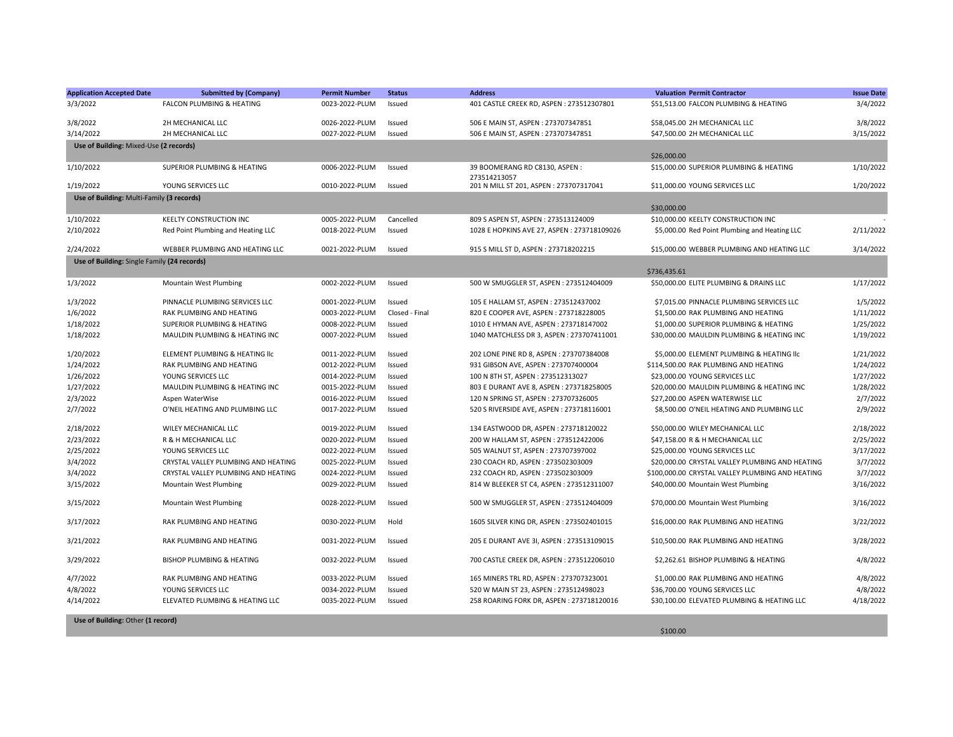| <b>Application Accepted Date</b>            | <b>Submitted by (Company)</b>        | <b>Permit Number</b> | <b>Status</b>    | <b>Address</b>                             | <b>Valuation Permit Contractor</b>               | <b>Issue Date</b>     |
|---------------------------------------------|--------------------------------------|----------------------|------------------|--------------------------------------------|--------------------------------------------------|-----------------------|
| 3/3/2022                                    | FALCON PLUMBING & HEATING            | 0023-2022-PLUM       | Issued           | 401 CASTLE CREEK RD, ASPEN: 273512307801   | \$51,513.00 FALCON PLUMBING & HEATING            | 3/4/2022              |
| 3/8/2022                                    | 2H MECHANICAL LLC                    | 0026-2022-PLUM       | Issued           | 506 E MAIN ST, ASPEN: 273707347851         | \$58,045.00 2H MECHANICAL LLC                    | 3/8/2022              |
| 3/14/2022                                   | 2H MECHANICAL LLC                    | 0027-2022-PLUM       | Issued           | 506 E MAIN ST, ASPEN: 273707347851         | \$47,500.00 2H MECHANICAL LLC                    | 3/15/2022             |
| Use of Building: Mixed-Use (2 records)      |                                      |                      |                  |                                            | \$26,000.00                                      |                       |
| 1/10/2022                                   | SUPERIOR PLUMBING & HEATING          | 0006-2022-PLUM       | Issued           | 39 BOOMERANG RD C8130, ASPEN:              | \$15,000.00 SUPERIOR PLUMBING & HEATING          | 1/10/2022             |
|                                             |                                      |                      |                  | 273514213057                               |                                                  |                       |
| 1/19/2022                                   | YOUNG SERVICES LLC                   | 0010-2022-PLUM       | Issued           | 201 N MILL ST 201, ASPEN : 273707317041    | \$11,000.00 YOUNG SERVICES LLC                   | 1/20/2022             |
| Use of Building: Multi-Family (3 records)   |                                      |                      |                  |                                            | \$30,000.00                                      |                       |
| 1/10/2022                                   | <b>KEELTY CONSTRUCTION INC</b>       | 0005-2022-PLUM       | Cancelled        | 809 S ASPEN ST, ASPEN : 273513124009       | \$10,000.00 KEELTY CONSTRUCTION INC              |                       |
| 2/10/2022                                   | Red Point Plumbing and Heating LLC   | 0018-2022-PLUM       | Issued           | 1028 E HOPKINS AVE 27, ASPEN: 273718109026 | \$5,000.00 Red Point Plumbing and Heating LLC    | 2/11/2022             |
|                                             |                                      |                      |                  |                                            |                                                  |                       |
| 2/24/2022                                   | WEBBER PLUMBING AND HEATING LLC      | 0021-2022-PLUM       | Issued           | 915 S MILL ST D, ASPEN: 273718202215       | \$15,000.00 WEBBER PLUMBING AND HEATING LLC      | 3/14/2022             |
| Use of Building: Single Family (24 records) |                                      |                      |                  |                                            | \$736,435.61                                     |                       |
| 1/3/2022                                    | Mountain West Plumbing               | 0002-2022-PLUM       | Issued           | 500 W SMUGGLER ST, ASPEN: 273512404009     | \$50,000.00 ELITE PLUMBING & DRAINS LLC          | 1/17/2022             |
| 1/3/2022                                    | PINNACLE PLUMBING SERVICES LLC       | 0001-2022-PLUM       | Issued           | 105 E HALLAM ST, ASPEN: 273512437002       | \$7,015.00 PINNACLE PLUMBING SERVICES LLC        | 1/5/2022              |
| 1/6/2022                                    | RAK PLUMBING AND HEATING             | 0003-2022-PLUM       | Closed - Final   | 820 E COOPER AVE, ASPEN: 273718228005      | \$1,500.00 RAK PLUMBING AND HEATING              | 1/11/2022             |
| 1/18/2022                                   | SUPERIOR PLUMBING & HEATING          | 0008-2022-PLUM       | Issued           | 1010 E HYMAN AVE, ASPEN: 273718147002      | \$1,000.00 SUPERIOR PLUMBING & HEATING           | 1/25/2022             |
| 1/18/2022                                   | MAULDIN PLUMBING & HEATING INC       | 0007-2022-PLUM       | Issued           | 1040 MATCHLESS DR 3, ASPEN: 273707411001   | \$30,000.00 MAULDIN PLUMBING & HEATING INC       | 1/19/2022             |
| 1/20/2022                                   | ELEMENT PLUMBING & HEATING IIC       | 0011-2022-PLUM       | Issued           | 202 LONE PINE RD 8, ASPEN : 273707384008   | \$5,000.00 ELEMENT PLUMBING & HEATING IIc        | 1/21/2022             |
| 1/24/2022                                   | RAK PLUMBING AND HEATING             | 0012-2022-PLUM       | Issued           | 931 GIBSON AVE, ASPEN: 273707400004        | \$114,500.00 RAK PLUMBING AND HEATING            | 1/24/2022             |
| 1/26/2022                                   | YOUNG SERVICES LLC                   | 0014-2022-PLUM       | Issued           | 100 N 8TH ST, ASPEN: 273512313027          | \$23,000.00 YOUNG SERVICES LLC                   | 1/27/2022             |
| 1/27/2022                                   | MAULDIN PLUMBING & HEATING INC       | 0015-2022-PLUM       | Issued           | 803 E DURANT AVE 8, ASPEN : 273718258005   | \$20,000.00 MAULDIN PLUMBING & HEATING INC       | 1/28/2022             |
| 2/3/2022                                    | Aspen WaterWise                      | 0016-2022-PLUM       | Issued           | 120 N SPRING ST, ASPEN: 273707326005       | \$27,200.00 ASPEN WATERWISE LLC                  | 2/7/2022              |
| 2/7/2022                                    | O'NEIL HEATING AND PLUMBING LLC      | 0017-2022-PLUM       | Issued           | 520 S RIVERSIDE AVE, ASPEN : 273718116001  | \$8,500.00 O'NEIL HEATING AND PLUMBING LLC       | 2/9/2022              |
| 2/18/2022                                   | <b>WILEY MECHANICAL LLC</b>          | 0019-2022-PLUM       | Issued           | 134 EASTWOOD DR, ASPEN: 273718120022       | \$50,000.00 WILEY MECHANICAL LLC                 | 2/18/2022             |
| 2/23/2022                                   | R & H MECHANICAL LLC                 | 0020-2022-PLUM       | Issued           | 200 W HALLAM ST, ASPEN: 273512422006       | \$47,158.00 R & H MECHANICAL LLC                 | 2/25/2022             |
| 2/25/2022                                   | YOUNG SERVICES LLC                   | 0022-2022-PLUM       | Issued           | 505 WALNUT ST, ASPEN: 273707397002         | \$25,000.00 YOUNG SERVICES LLC                   | 3/17/2022             |
| 3/4/2022                                    | CRYSTAL VALLEY PLUMBING AND HEATING  | 0025-2022-PLUM       | Issued           | 230 COACH RD, ASPEN: 273502303009          | \$20,000.00 CRYSTAL VALLEY PLUMBING AND HEATING  | 3/7/2022              |
| 3/4/2022                                    | CRYSTAL VALLEY PLUMBING AND HEATING  | 0024-2022-PLUM       | Issued           | 232 COACH RD, ASPEN: 273502303009          | \$100,000.00 CRYSTAL VALLEY PLUMBING AND HEATING | 3/7/2022              |
| 3/15/2022                                   | Mountain West Plumbing               | 0029-2022-PLUM       | Issued           | 814 W BLEEKER ST C4, ASPEN: 273512311007   | \$40,000.00 Mountain West Plumbing               | 3/16/2022             |
| 3/15/2022                                   | Mountain West Plumbing               | 0028-2022-PLUM       | Issued           | 500 W SMUGGLER ST, ASPEN: 273512404009     | \$70,000.00 Mountain West Plumbing               | 3/16/2022             |
| 3/17/2022                                   | RAK PLUMBING AND HEATING             | 0030-2022-PLUM       | Hold             | 1605 SILVER KING DR, ASPEN: 273502401015   | \$16,000.00 RAK PLUMBING AND HEATING             | 3/22/2022             |
| 3/21/2022                                   | <b>RAK PLUMBING AND HEATING</b>      | 0031-2022-PLUM       | Issued           | 205 E DURANT AVE 3I, ASPEN: 273513109015   | \$10,500.00 RAK PLUMBING AND HEATING             | 3/28/2022             |
| 3/29/2022                                   | <b>BISHOP PLUMBING &amp; HEATING</b> | 0032-2022-PLUM       | Issued           | 700 CASTLE CREEK DR, ASPEN: 273512206010   | \$2,262.61 BISHOP PLUMBING & HEATING             | 4/8/2022              |
| 4/7/2022                                    | RAK PLUMBING AND HEATING             | 0033-2022-PLUM       | Issued           | 165 MINERS TRL RD, ASPEN: 273707323001     | \$1,000.00 RAK PLUMBING AND HEATING              | 4/8/2022              |
|                                             | YOUNG SERVICES LLC                   | 0034-2022-PLUM       |                  | 520 W MAIN ST 23. ASPEN: 273512498023      | \$36,700.00 YOUNG SERVICES LLC                   |                       |
| 4/8/2022<br>4/14/2022                       | ELEVATED PLUMBING & HEATING LLC      | 0035-2022-PLUM       | Issued<br>Issued | 258 ROARING FORK DR, ASPEN: 273718120016   | \$30,100.00 ELEVATED PLUMBING & HEATING LLC      | 4/8/2022<br>4/18/2022 |
|                                             |                                      |                      |                  |                                            |                                                  |                       |

**Use of Building:** Other **(1 record)**

\$100.00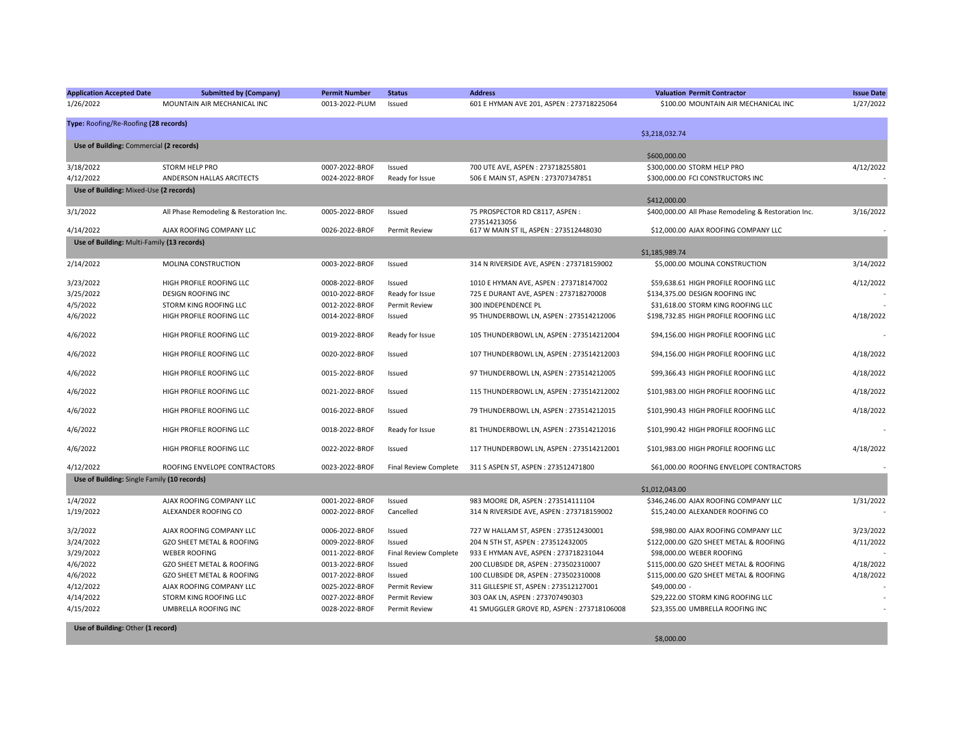| <b>Application Accepted Date</b>            | <b>Submitted by (Company)</b>           | <b>Permit Number</b> | <b>Status</b>                | <b>Address</b>                                 | <b>Valuation Permit Contractor</b>                   | <b>Issue Date</b> |
|---------------------------------------------|-----------------------------------------|----------------------|------------------------------|------------------------------------------------|------------------------------------------------------|-------------------|
| 1/26/2022                                   | MOUNTAIN AIR MECHANICAL INC             | 0013-2022-PLUM       | Issued                       | 601 E HYMAN AVE 201, ASPEN : 273718225064      | \$100.00 MOUNTAIN AIR MECHANICAL INC                 | 1/27/2022         |
| Type: Roofing/Re-Roofing (28 records)       |                                         |                      |                              |                                                |                                                      |                   |
|                                             |                                         |                      |                              |                                                | \$3,218,032.74                                       |                   |
| Use of Building: Commercial (2 records)     |                                         |                      |                              |                                                | \$600,000.00                                         |                   |
| 3/18/2022                                   | <b>STORM HELP PRO</b>                   | 0007-2022-BROF       | Issued                       | 700 UTE AVE, ASPEN: 273718255801               | \$300,000.00 STORM HELP PRO                          | 4/12/2022         |
| 4/12/2022                                   | ANDERSON HALLAS ARCITECTS               | 0024-2022-BROF       | Ready for Issue              | 506 E MAIN ST, ASPEN: 273707347851             | \$300,000,00 FCI CONSTRUCTORS INC                    |                   |
| Use of Building: Mixed-Use (2 records)      |                                         |                      |                              |                                                | \$412,000.00                                         |                   |
| 3/1/2022                                    | All Phase Remodeling & Restoration Inc. | 0005-2022-BROF       | Issued                       | 75 PROSPECTOR RD C8117, ASPEN:<br>273514213056 | \$400,000.00 All Phase Remodeling & Restoration Inc. | 3/16/2022         |
| 4/14/2022                                   | AJAX ROOFING COMPANY LLC                | 0026-2022-BROF       | Permit Review                | 617 W MAIN ST IL, ASPEN: 273512448030          | \$12,000.00 AJAX ROOFING COMPANY LLC                 |                   |
| Use of Building: Multi-Family (13 records)  |                                         |                      |                              |                                                |                                                      |                   |
|                                             |                                         |                      |                              |                                                | \$1,185,989.74                                       |                   |
| 2/14/2022                                   | MOLINA CONSTRUCTION                     | 0003-2022-BROF       | Issued                       | 314 N RIVERSIDE AVE, ASPEN : 273718159002      | \$5,000.00 MOLINA CONSTRUCTION                       | 3/14/2022         |
| 3/23/2022                                   | HIGH PROFILE ROOFING LLC                | 0008-2022-BROF       | Issued                       | 1010 E HYMAN AVE, ASPEN: 273718147002          | \$59,638.61 HIGH PROFILE ROOFING LLC                 | 4/12/2022         |
| 3/25/2022                                   | DESIGN ROOFING INC                      | 0010-2022-BROF       | Ready for Issue              | 725 E DURANT AVE, ASPEN : 273718270008         | \$134,375.00 DESIGN ROOFING INC                      |                   |
| 4/5/2022                                    | STORM KING ROOFING LLC                  | 0012-2022-BROF       | <b>Permit Review</b>         | 300 INDEPENDENCE PL                            | \$31,618.00 STORM KING ROOFING LLC                   |                   |
| 4/6/2022                                    | HIGH PROFILE ROOFING LLC                | 0014-2022-BROF       | Issued                       | 95 THUNDERBOWL LN, ASPEN: 273514212006         | \$198,732.85 HIGH PROFILE ROOFING LLC                | 4/18/2022         |
| 4/6/2022                                    | HIGH PROFILE ROOFING LLC                | 0019-2022-BROF       | Ready for Issue              | 105 THUNDERBOWL LN, ASPEN: 273514212004        | \$94,156.00 HIGH PROFILE ROOFING LLC                 |                   |
| 4/6/2022                                    | HIGH PROFILE ROOFING LLC                | 0020-2022-BROF       | Issued                       | 107 THUNDERBOWL LN, ASPEN: 273514212003        | \$94,156.00 HIGH PROFILE ROOFING LLC                 | 4/18/2022         |
| 4/6/2022                                    | HIGH PROFILE ROOFING LLC                | 0015-2022-BROF       | Issued                       | 97 THUNDERBOWL LN, ASPEN: 273514212005         | \$99,366.43 HIGH PROFILE ROOFING LLC                 | 4/18/2022         |
| 4/6/2022                                    | HIGH PROFILE ROOFING LLC                | 0021-2022-BROF       | Issued                       | 115 THUNDERBOWL LN, ASPEN: 273514212002        | \$101,983.00 HIGH PROFILE ROOFING LLC                | 4/18/2022         |
| 4/6/2022                                    | HIGH PROFILE ROOFING LLC                | 0016-2022-BROF       | Issued                       | 79 THUNDERBOWL LN, ASPEN: 273514212015         | \$101,990.43 HIGH PROFILE ROOFING LLC                | 4/18/2022         |
| 4/6/2022                                    | HIGH PROFILE ROOFING LLC                | 0018-2022-BROF       | Ready for Issue              | 81 THUNDERBOWL LN, ASPEN: 273514212016         | \$101,990.42 HIGH PROFILE ROOFING LLC                |                   |
| 4/6/2022                                    | HIGH PROFILE ROOFING LLC                | 0022-2022-BROF       | Issued                       | 117 THUNDERBOWL LN, ASPEN: 273514212001        | \$101,983.00 HIGH PROFILE ROOFING LLC                | 4/18/2022         |
| 4/12/2022                                   | ROOFING ENVELOPE CONTRACTORS            | 0023-2022-BROF       | <b>Final Review Complete</b> | 311 S ASPEN ST, ASPEN: 273512471800            | \$61,000.00 ROOFING ENVELOPE CONTRACTORS             |                   |
| Use of Building: Single Family (10 records) |                                         |                      |                              |                                                | \$1,012,043.00                                       |                   |
| 1/4/2022                                    | AJAX ROOFING COMPANY LLC                | 0001-2022-BROF       | Issued                       | 983 MOORE DR, ASPEN: 273514111104              | \$346,246.00 AJAX ROOFING COMPANY LLC                | 1/31/2022         |
| 1/19/2022                                   | ALEXANDER ROOFING CO                    | 0002-2022-BROF       | Cancelled                    | 314 N RIVERSIDE AVE, ASPEN : 273718159002      | \$15,240.00 ALEXANDER ROOFING CO                     |                   |
| 3/2/2022                                    | AJAX ROOFING COMPANY LLC                | 0006-2022-BROF       | Issued                       | 727 W HALLAM ST, ASPEN: 273512430001           | \$98,980.00 AJAX ROOFING COMPANY LLC                 | 3/23/2022         |
| 3/24/2022                                   | <b>GZO SHEET METAL &amp; ROOFING</b>    | 0009-2022-BROF       | Issued                       | 204 N 5TH ST, ASPEN: 273512432005              | \$122,000.00 GZO SHEET METAL & ROOFING               | 4/11/2022         |
| 3/29/2022                                   | <b>WEBER ROOFING</b>                    | 0011-2022-BROF       | Final Review Complete        | 933 E HYMAN AVE, ASPEN: 273718231044           | \$98,000.00 WEBER ROOFING                            |                   |
| 4/6/2022                                    | <b>GZO SHEET METAL &amp; ROOFING</b>    | 0013-2022-BROF       | Issued                       | 200 CLUBSIDE DR, ASPEN: 273502310007           | \$115,000.00 GZO SHEET METAL & ROOFING               | 4/18/2022         |
| 4/6/2022                                    | GZO SHEET METAL & ROOFING               | 0017-2022-BROF       | Issued                       | 100 CLUBSIDE DR, ASPEN: 273502310008           | \$115,000.00 GZO SHEET METAL & ROOFING               | 4/18/2022         |
| 4/12/2022                                   | AJAX ROOFING COMPANY LLC                | 0025-2022-BROF       | <b>Permit Review</b>         | 311 GILLESPIE ST, ASPEN : 273512127001         | \$49,000.00 -                                        |                   |
| 4/14/2022                                   | STORM KING ROOFING LLC                  | 0027-2022-BROF       | <b>Permit Review</b>         | 303 OAK LN, ASPEN: 273707490303                | \$29,222.00 STORM KING ROOFING LLC                   |                   |
| 4/15/2022                                   | UMBRELLA ROOFING INC                    | 0028-2022-BROF       | Permit Review                | 41 SMUGGLER GROVE RD, ASPEN : 273718106008     | \$23,355.00 UMBRELLA ROOFING INC                     |                   |
|                                             |                                         |                      |                              |                                                |                                                      |                   |

**Use of Building:** Other **(1 record)**